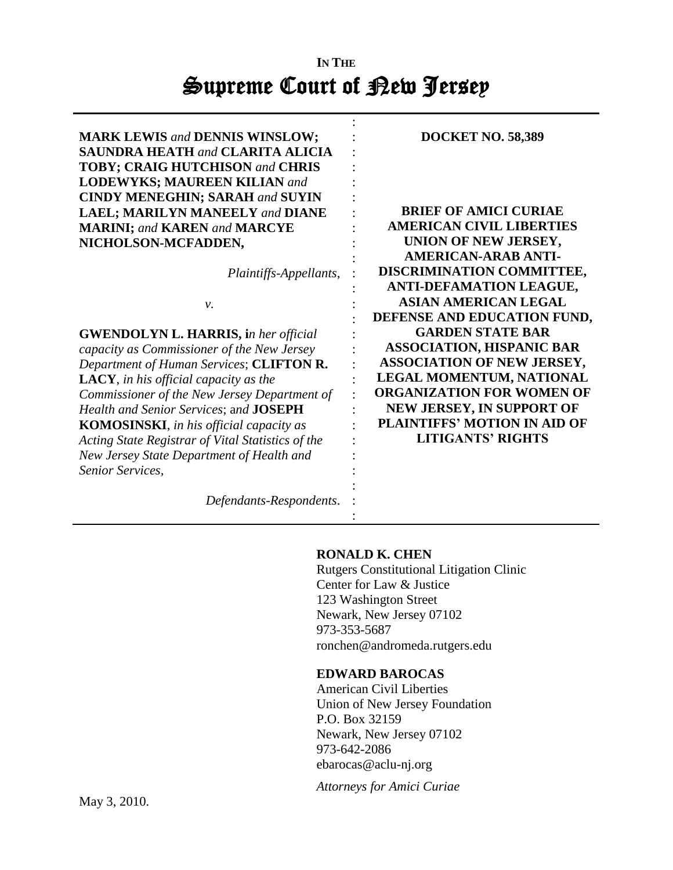# **IN THE**  Supreme Court of Rew Jersey

| <b>MARK LEWIS and DENNIS WINSLOW;</b>             | <b>DOCKET NO. 58,389</b>            |
|---------------------------------------------------|-------------------------------------|
| <b>SAUNDRA HEATH and CLARITA ALICIA</b>           |                                     |
| <b>TOBY; CRAIG HUTCHISON and CHRIS</b>            |                                     |
| <b>LODEWYKS; MAUREEN KILIAN and</b>               |                                     |
| <b>CINDY MENEGHIN; SARAH and SUYIN</b>            |                                     |
| <b>LAEL; MARILYN MANEELY and DIANE</b>            | <b>BRIEF OF AMICI CURIAE</b>        |
| <b>MARINI; and KAREN and MARCYE</b>               | <b>AMERICAN CIVIL LIBERTIES</b>     |
| NICHOLSON-MCFADDEN,                               | UNION OF NEW JERSEY,                |
|                                                   | <b>AMERICAN-ARAB ANTI-</b>          |
| Plaintiffs-Appellants,                            | DISCRIMINATION COMMITTEE,           |
|                                                   | <b>ANTI-DEFAMATION LEAGUE,</b>      |
| ν.                                                | <b>ASIAN AMERICAN LEGAL</b>         |
|                                                   | DEFENSE AND EDUCATION FUND,         |
| <b>GWENDOLYN L. HARRIS, in her official</b>       | <b>GARDEN STATE BAR</b>             |
| capacity as Commissioner of the New Jersey        | <b>ASSOCIATION, HISPANIC BAR</b>    |
| Department of Human Services; CLIFTON R.          | <b>ASSOCIATION OF NEW JERSEY,</b>   |
| LACY, in his official capacity as the             | LEGAL MOMENTUM, NATIONAL            |
| Commissioner of the New Jersey Department of      | <b>ORGANIZATION FOR WOMEN OF</b>    |
| Health and Senior Services; and JOSEPH            | <b>NEW JERSEY, IN SUPPORT OF</b>    |
| <b>KOMOSINSKI</b> , in his official capacity as   | <b>PLAINTIFFS' MOTION IN AID OF</b> |
| Acting State Registrar of Vital Statistics of the | <b>LITIGANTS' RIGHTS</b>            |
| New Jersey State Department of Health and         |                                     |
| Senior Services,                                  |                                     |
|                                                   |                                     |
|                                                   |                                     |
| Defendants-Respondents.                           |                                     |

# **RONALD K. CHEN**

:

Rutgers Constitutional Litigation Clinic Center for Law & Justice 123 Washington Street Newark, New Jersey 07102 973-353-5687 ronchen@andromeda.rutgers.edu

# **EDWARD BAROCAS**

American Civil Liberties Union of New Jersey Foundation P.O. Box 32159 Newark, New Jersey 07102 973-642-2086 ebarocas@aclu-nj.org

*Attorneys for Amici Curiae*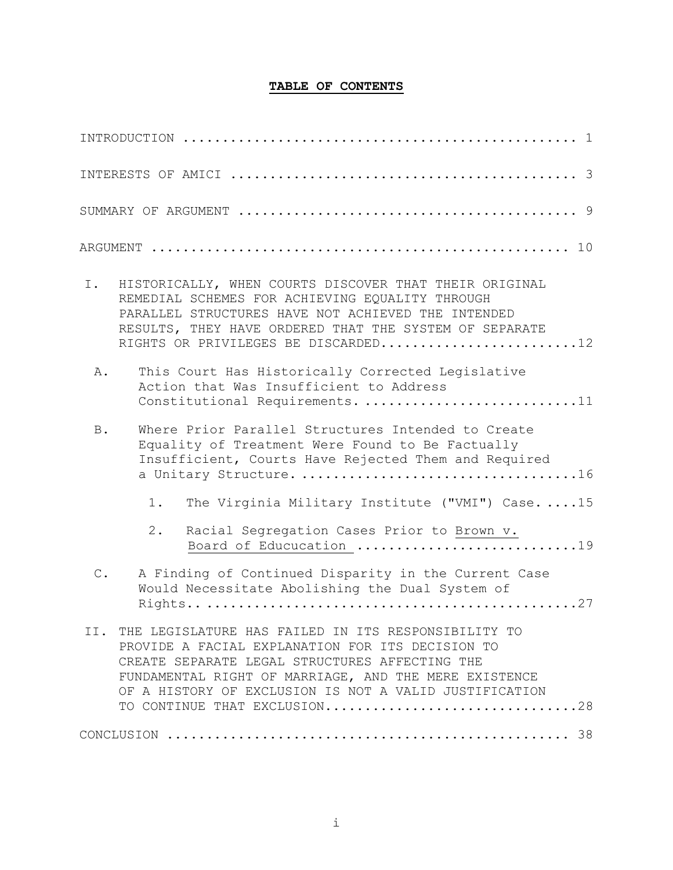# **TABLE OF CONTENTS**

| Ι.            | HISTORICALLY, WHEN COURTS DISCOVER THAT THEIR ORIGINAL<br>REMEDIAL SCHEMES FOR ACHIEVING EQUALITY THROUGH<br>PARALLEL STRUCTURES HAVE NOT ACHIEVED THE INTENDED<br>RESULTS, THEY HAVE ORDERED THAT THE SYSTEM OF SEPARATE<br>RIGHTS OR PRIVILEGES BE DISCARDED12                                                 |
|---------------|------------------------------------------------------------------------------------------------------------------------------------------------------------------------------------------------------------------------------------------------------------------------------------------------------------------|
| Α.            | This Court Has Historically Corrected Legislative<br>Action that Was Insufficient to Address<br>Constitutional Requirements. 11                                                                                                                                                                                  |
| <b>B</b> .    | Where Prior Parallel Structures Intended to Create<br>Equality of Treatment Were Found to Be Factually<br>Insufficient, Courts Have Rejected Them and Required                                                                                                                                                   |
|               | The Virginia Military Institute ("VMI") Case. 15<br>$1$ .                                                                                                                                                                                                                                                        |
|               | $2$ .<br>Racial Segregation Cases Prior to Brown v.                                                                                                                                                                                                                                                              |
| $\mathsf C$ . | A Finding of Continued Disparity in the Current Case<br>Would Necessitate Abolishing the Dual System of                                                                                                                                                                                                          |
|               | II. THE LEGISLATURE HAS FAILED IN ITS RESPONSIBILITY TO<br>PROVIDE A FACIAL EXPLANATION FOR ITS DECISION TO<br>CREATE SEPARATE LEGAL STRUCTURES AFFECTING THE<br>FUNDAMENTAL RIGHT OF MARRIAGE, AND THE MERE EXISTENCE<br>OF A HISTORY OF EXCLUSION IS NOT A VALID JUSTIFICATION<br>TO CONTINUE THAT EXCLUSION28 |
|               |                                                                                                                                                                                                                                                                                                                  |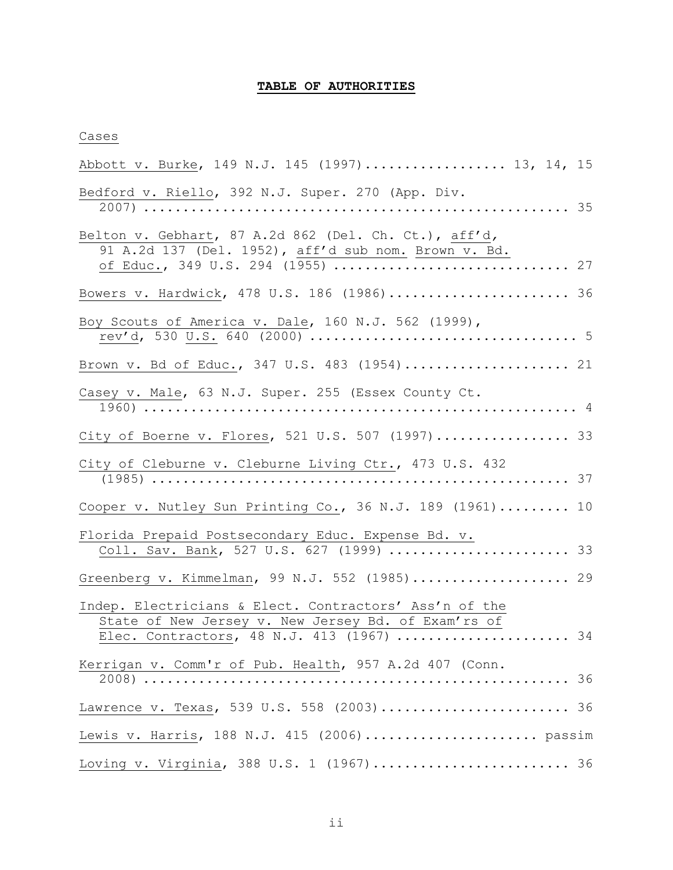# **TABLE OF AUTHORITIES**

## Cases

| Abbott v. Burke, 149 N.J. 145 (1997) 13, 14, 15                                                                                                            |  |
|------------------------------------------------------------------------------------------------------------------------------------------------------------|--|
| Bedford v. Riello, 392 N.J. Super. 270 (App. Div.                                                                                                          |  |
| Belton v. Gebhart, 87 A.2d 862 (Del. Ch. Ct.), aff'd,<br>91 A.2d 137 (Del. 1952), aff'd sub nom. Brown v. Bd.                                              |  |
| Bowers v. Hardwick, 478 U.S. 186 (1986) 36                                                                                                                 |  |
| Boy Scouts of America v. Dale, 160 N.J. 562 (1999),                                                                                                        |  |
| Brown v. Bd of Educ., 347 U.S. 483 (1954) 21                                                                                                               |  |
| Casey v. Male, 63 N.J. Super. 255 (Essex County Ct.                                                                                                        |  |
| City of Boerne v. Flores, 521 U.S. 507 (1997) 33                                                                                                           |  |
| City of Cleburne v. Cleburne Living Ctr., 473 U.S. 432                                                                                                     |  |
| Cooper v. Nutley Sun Printing Co., 36 N.J. 189 (1961) 10                                                                                                   |  |
| Florida Prepaid Postsecondary Educ. Expense Bd. v.<br>Coll. Sav. Bank, 527 U.S. 627 (1999)  33                                                             |  |
| Greenberg v. Kimmelman, 99 N.J. 552 (1985) 29                                                                                                              |  |
| Indep. Electricians & Elect. Contractors' Ass'n of the<br>State of New Jersey v. New Jersey Bd. of Exam'rs of<br>Elec. Contractors, 48 N.J. 413 (1967)  34 |  |
| Kerrigan v. Comm'r of Pub. Health, 957 A.2d 407 (Conn.                                                                                                     |  |
| Lawrence v. Texas, 539 U.S. 558 (2003) 36                                                                                                                  |  |
| Lewis v. Harris, 188 N.J. 415 (2006) passim                                                                                                                |  |
| Loving v. Virginia, 388 U.S. 1 (1967) 36                                                                                                                   |  |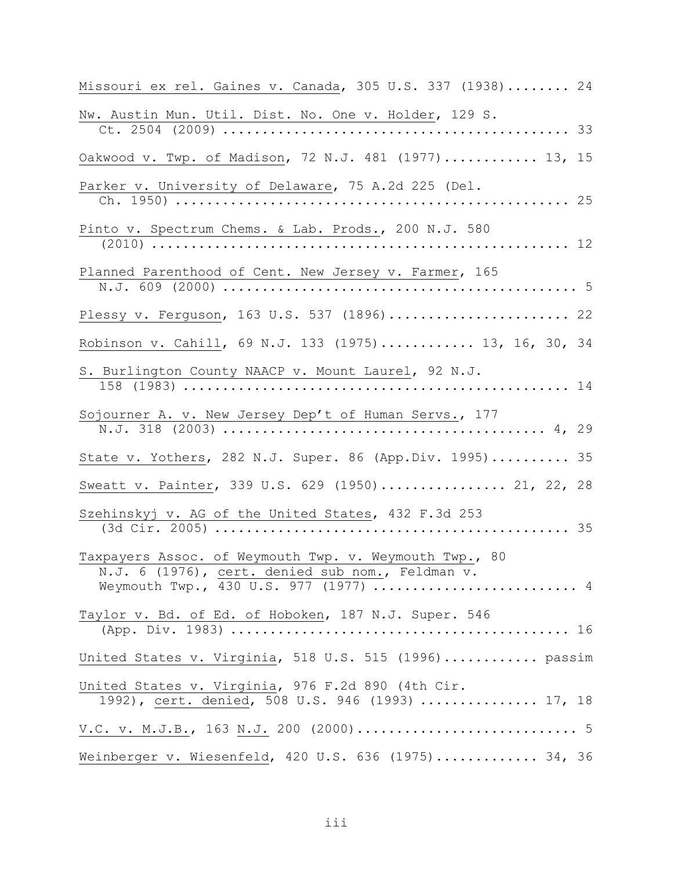| Missouri ex rel. Gaines v. Canada, 305 U.S. 337 (1938) 24                                                  |  |
|------------------------------------------------------------------------------------------------------------|--|
| Nw. Austin Mun. Util. Dist. No. One v. Holder, 129 S.                                                      |  |
| Oakwood v. Twp. of Madison, 72 N.J. 481 (1977) 13, 15                                                      |  |
| Parker v. University of Delaware, 75 A.2d 225 (Del.                                                        |  |
| Pinto v. Spectrum Chems. & Lab. Prods., 200 N.J. 580                                                       |  |
| Planned Parenthood of Cent. New Jersey v. Farmer, 165                                                      |  |
| Plessy v. Ferguson, 163 U.S. 537 (1896)  22                                                                |  |
| Robinson v. Cahill, 69 N.J. 133 (1975) 13, 16, 30, 34                                                      |  |
| S. Burlington County NAACP v. Mount Laurel, 92 N.J.                                                        |  |
| Sojourner A. v. New Jersey Dep't of Human Servs., 177                                                      |  |
| State v. Yothers, 282 N.J. Super. 86 (App.Div. 1995) 35                                                    |  |
| Sweatt v. Painter, 339 U.S. 629 (1950) 21, 22, 28                                                          |  |
| Szehinskyj v. AG of the United States, 432 F.3d 253                                                        |  |
| Taxpayers Assoc. of Weymouth Twp. v. Weymouth Twp., 80<br>N.J. 6 (1976), cert. denied sub nom., Feldman v. |  |
| Taylor v. Bd. of Ed. of Hoboken, 187 N.J. Super. 546                                                       |  |
| United States v. Virginia, 518 U.S. 515 (1996) passim                                                      |  |
| United States v. Virginia, 976 F.2d 890 (4th Cir.<br>1992), cert. denied, 508 U.S. 946 (1993)  17, 18      |  |
|                                                                                                            |  |
| Weinberger v. Wiesenfeld, 420 U.S. 636 (1975) 34, 36                                                       |  |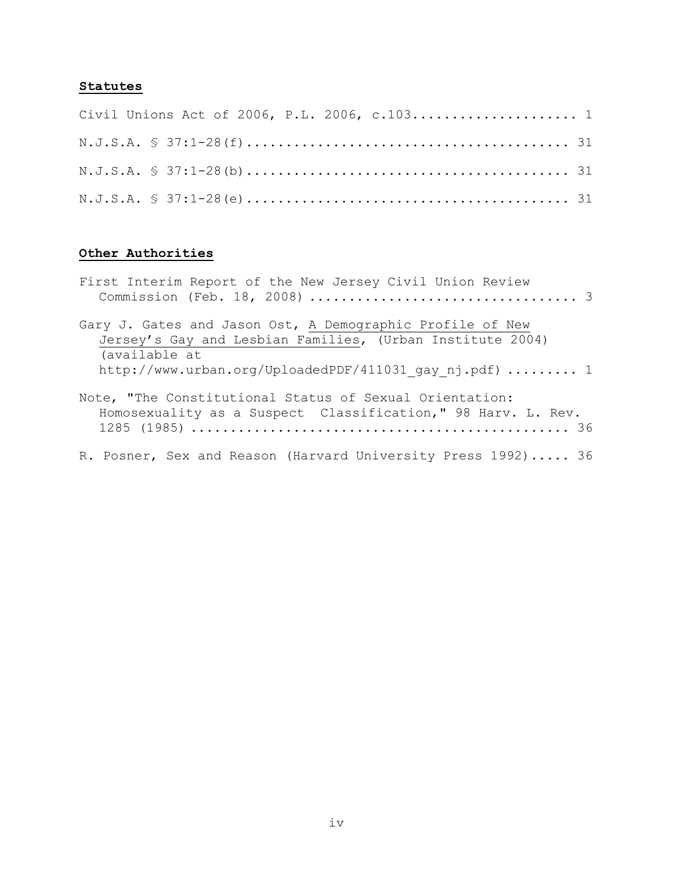# **Statutes**

|  | Civil Unions Act of 2006, P.L. 2006, c.103 1 |  |  |  |  |
|--|----------------------------------------------|--|--|--|--|
|  |                                              |  |  |  |  |
|  |                                              |  |  |  |  |
|  |                                              |  |  |  |  |

# **Other Authorities**

| First Interim Report of the New Jersey Civil Union Review                                                                               |
|-----------------------------------------------------------------------------------------------------------------------------------------|
| Gary J. Gates and Jason Ost, A Demographic Profile of New<br>Jersey's Gay and Lesbian Families, (Urban Institute 2004)<br>(available at |
| http://www.urban.org/UploadedPDF/411031 gay nj.pdf)  1                                                                                  |
| Note, "The Constitutional Status of Sexual Orientation:<br>Homosexuality as a Suspect Classification," 98 Harv. L. Rev.                 |
| R. Posner, Sex and Reason (Harvard University Press 1992) 36                                                                            |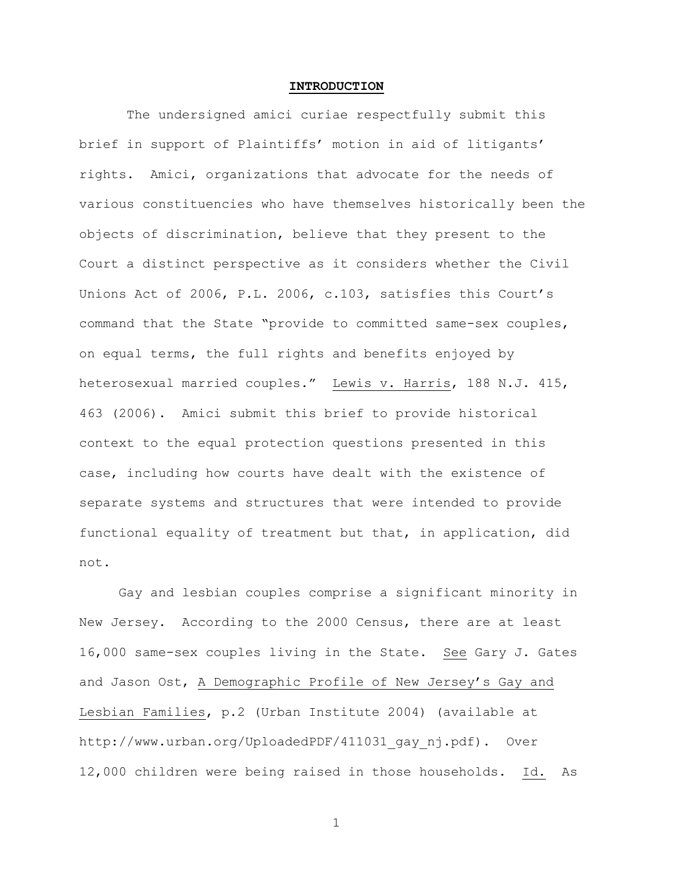#### **INTRODUCTION**

The undersigned amici curiae respectfully submit this brief in support of Plaintiffs' motion in aid of litigants' rights. Amici, organizations that advocate for the needs of various constituencies who have themselves historically been the objects of discrimination, believe that they present to the Court a distinct perspective as it considers whether the Civil Unions Act of 2006, P.L. 2006, c.103, satisfies this Court's command that the State "provide to committed same-sex couples, on equal terms, the full rights and benefits enjoyed by heterosexual married couples." Lewis v. Harris, 188 N.J. 415, 463 (2006). Amici submit this brief to provide historical context to the equal protection questions presented in this case, including how courts have dealt with the existence of separate systems and structures that were intended to provide functional equality of treatment but that, in application, did not.

Gay and lesbian couples comprise a significant minority in New Jersey. According to the 2000 Census, there are at least 16,000 same-sex couples living in the State. See Gary J. Gates and Jason Ost, A Demographic Profile of New Jersey's Gay and Lesbian Families, p.2 (Urban Institute 2004) (available at http://www.urban.org/UploadedPDF/411031\_gay\_nj.pdf). Over 12,000 children were being raised in those households. Id. As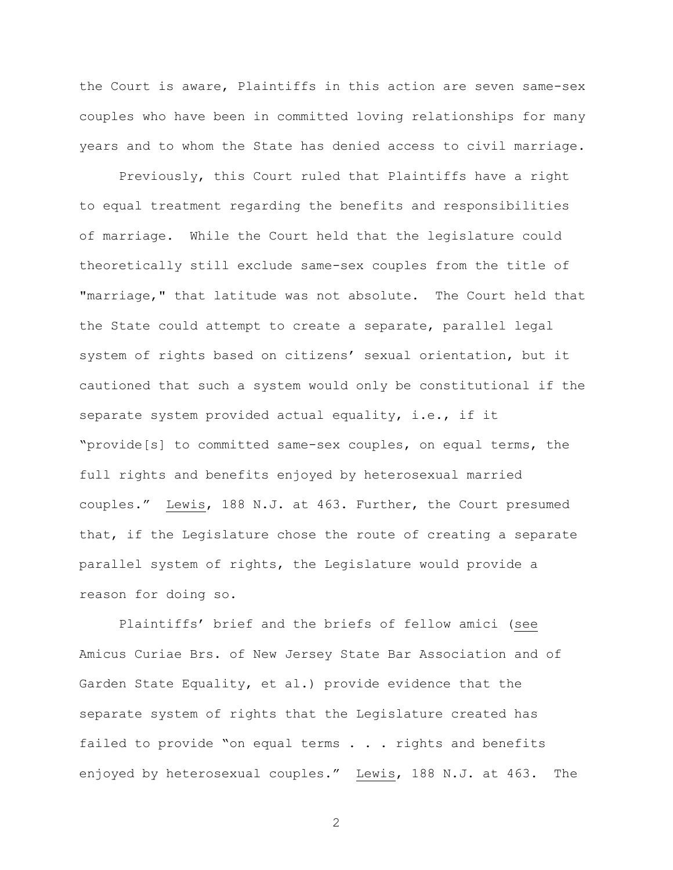the Court is aware, Plaintiffs in this action are seven same-sex couples who have been in committed loving relationships for many years and to whom the State has denied access to civil marriage.

Previously, this Court ruled that Plaintiffs have a right to equal treatment regarding the benefits and responsibilities of marriage. While the Court held that the legislature could theoretically still exclude same-sex couples from the title of "marriage," that latitude was not absolute. The Court held that the State could attempt to create a separate, parallel legal system of rights based on citizens' sexual orientation, but it cautioned that such a system would only be constitutional if the separate system provided actual equality, i.e., if it "provide[s] to committed same-sex couples, on equal terms, the full rights and benefits enjoyed by heterosexual married couples." Lewis, 188 N.J. at 463. Further, the Court presumed that, if the Legislature chose the route of creating a separate parallel system of rights, the Legislature would provide a reason for doing so.

Plaintiffs" brief and the briefs of fellow amici (see Amicus Curiae Brs. of New Jersey State Bar Association and of Garden State Equality, et al.) provide evidence that the separate system of rights that the Legislature created has failed to provide "on equal terms . . . rights and benefits enjoyed by heterosexual couples." Lewis, 188 N.J. at 463. The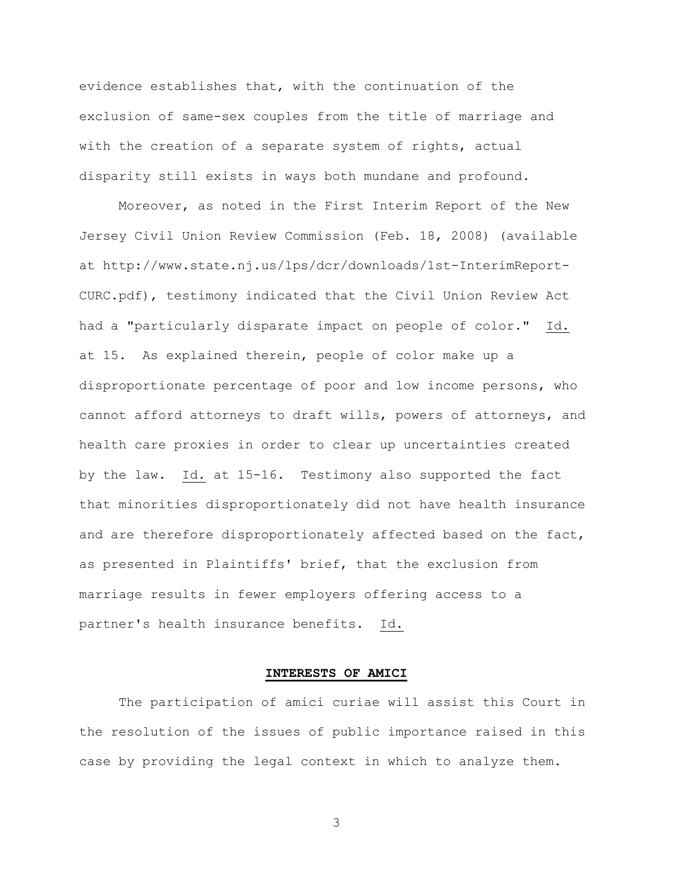evidence establishes that, with the continuation of the exclusion of same-sex couples from the title of marriage and with the creation of a separate system of rights, actual disparity still exists in ways both mundane and profound.

Moreover, as noted in the First Interim Report of the New Jersey Civil Union Review Commission (Feb. 18, 2008) (available at http://www.state.nj.us/lps/dcr/downloads/1st-InterimReport-CURC.pdf), testimony indicated that the Civil Union Review Act had a "particularly disparate impact on people of color." Id. at 15. As explained therein, people of color make up a disproportionate percentage of poor and low income persons, who cannot afford attorneys to draft wills, powers of attorneys, and health care proxies in order to clear up uncertainties created by the law. Id. at 15-16. Testimony also supported the fact that minorities disproportionately did not have health insurance and are therefore disproportionately affected based on the fact, as presented in Plaintiffs' brief, that the exclusion from marriage results in fewer employers offering access to a partner's health insurance benefits. Id.

## **INTERESTS OF AMICI**

The participation of amici curiae will assist this Court in the resolution of the issues of public importance raised in this case by providing the legal context in which to analyze them.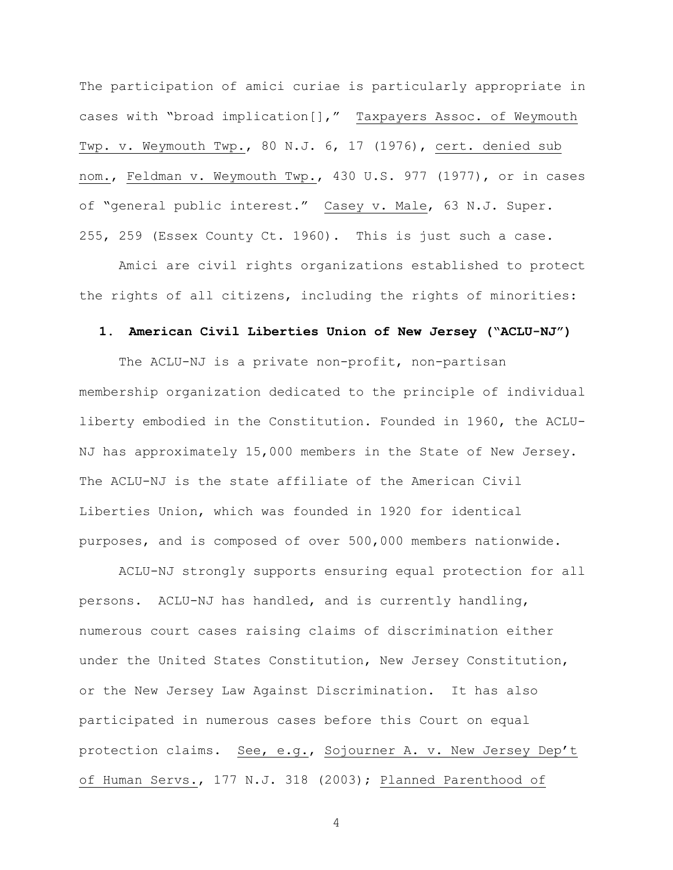The participation of amici curiae is particularly appropriate in cases with "broad implication[]," Taxpayers Assoc. of Weymouth Twp. v. Weymouth Twp., 80 N.J. 6, 17 (1976), cert. denied sub nom., Feldman v. Weymouth Twp., 430 U.S. 977 (1977), or in cases of "general public interest." Casey v. Male, 63 N.J. Super. 255, 259 (Essex County Ct. 1960). This is just such a case.

Amici are civil rights organizations established to protect the rights of all citizens, including the rights of minorities:

#### **1. American Civil Liberties Union of New Jersey ("ACLU-NJ")**

The ACLU-NJ is a private non-profit, non-partisan membership organization dedicated to the principle of individual liberty embodied in the Constitution. Founded in 1960, the ACLU-NJ has approximately 15,000 members in the State of New Jersey. The ACLU-NJ is the state affiliate of the American Civil Liberties Union, which was founded in 1920 for identical purposes, and is composed of over 500,000 members nationwide.

ACLU-NJ strongly supports ensuring equal protection for all persons. ACLU-NJ has handled, and is currently handling, numerous court cases raising claims of discrimination either under the United States Constitution, New Jersey Constitution, or the New Jersey Law Against Discrimination. It has also participated in numerous cases before this Court on equal protection claims. See, e.g., Sojourner A. v. New Jersey Dep't of Human Servs., 177 N.J. 318 (2003); Planned Parenthood of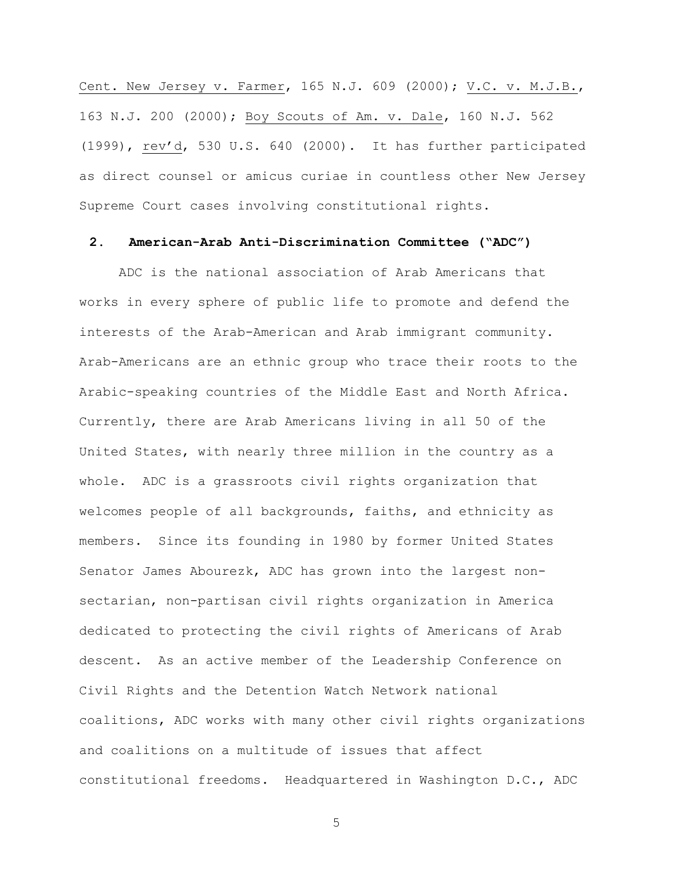Cent. New Jersey v. Farmer, 165 N.J. 609 (2000); V.C. v. M.J.B., 163 N.J. 200 (2000); Boy Scouts of Am. v. Dale, 160 N.J. 562 (1999), rev"d, 530 U.S. 640 (2000). It has further participated as direct counsel or amicus curiae in countless other New Jersey Supreme Court cases involving constitutional rights.

## **2. American-Arab Anti-Discrimination Committee ("ADC")**

ADC is the national association of Arab Americans that works in every sphere of public life to promote and defend the interests of the Arab-American and Arab immigrant community. Arab-Americans are an ethnic group who trace their roots to the Arabic-speaking countries of the Middle East and North Africa. Currently, there are Arab Americans living in all 50 of the United States, with nearly three million in the country as a whole. ADC is a grassroots civil rights organization that welcomes people of all backgrounds, faiths, and ethnicity as members. Since its founding in 1980 by former United States Senator James Abourezk, ADC has grown into the largest nonsectarian, non-partisan civil rights organization in America dedicated to protecting the civil rights of Americans of Arab descent. As an active member of the Leadership Conference on Civil Rights and the Detention Watch Network national coalitions, ADC works with many other civil rights organizations and coalitions on a multitude of issues that affect constitutional freedoms. Headquartered in Washington D.C., ADC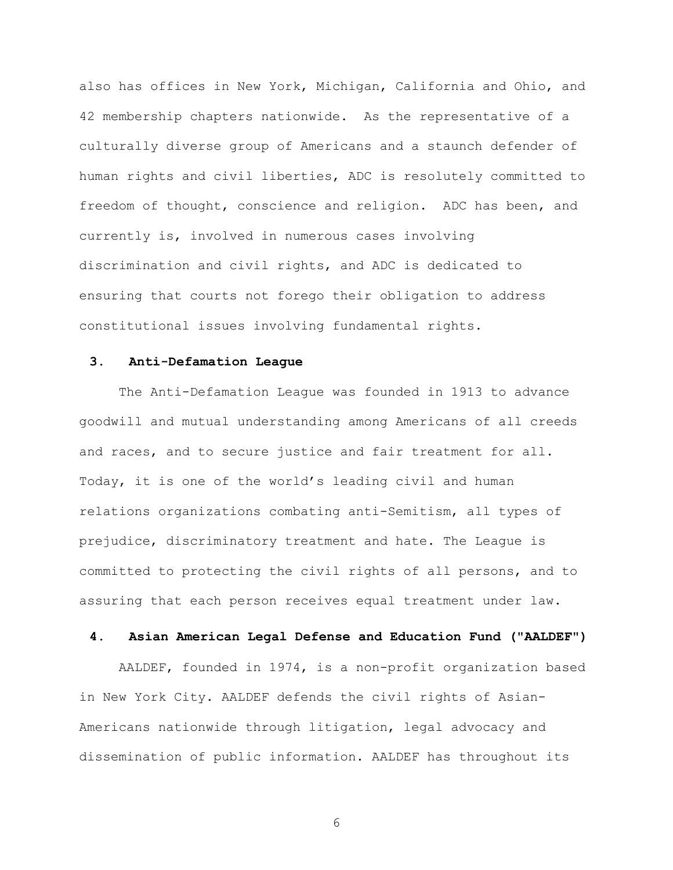also has offices in New York, Michigan, California and Ohio, and 42 membership chapters nationwide. As the representative of a culturally diverse group of Americans and a staunch defender of human rights and civil liberties, ADC is resolutely committed to freedom of thought, conscience and religion. ADC has been, and currently is, involved in numerous cases involving discrimination and civil rights, and ADC is dedicated to ensuring that courts not forego their obligation to address constitutional issues involving fundamental rights.

## **3. Anti-Defamation League**

The Anti-Defamation League was founded in 1913 to advance goodwill and mutual understanding among Americans of all creeds and races, and to secure justice and fair treatment for all. Today, it is one of the world"s leading civil and human relations organizations combating anti-Semitism, all types of prejudice, discriminatory treatment and hate. The League is committed to protecting the civil rights of all persons, and to assuring that each person receives equal treatment under law.

## **4. Asian American Legal Defense and Education Fund ("AALDEF")**

AALDEF, founded in 1974, is a non-profit organization based in New York City. AALDEF defends the civil rights of Asian-Americans nationwide through litigation, legal advocacy and dissemination of public information. AALDEF has throughout its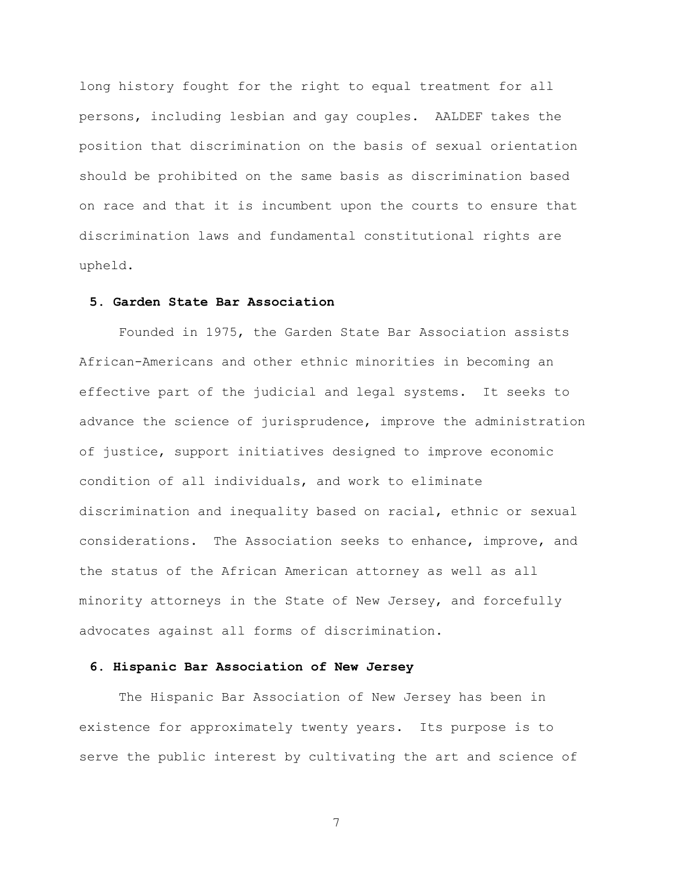long history fought for the right to equal treatment for all persons, including lesbian and gay couples. AALDEF takes the position that discrimination on the basis of sexual orientation should be prohibited on the same basis as discrimination based on race and that it is incumbent upon the courts to ensure that discrimination laws and fundamental constitutional rights are upheld.

## **5. Garden State Bar Association**

Founded in 1975, the Garden State Bar Association assists African-Americans and other ethnic minorities in becoming an effective part of the judicial and legal systems. It seeks to advance the science of jurisprudence, improve the administration of justice, support initiatives designed to improve economic condition of all individuals, and work to eliminate discrimination and inequality based on racial, ethnic or sexual considerations. The Association seeks to enhance, improve, and the status of the African American attorney as well as all minority attorneys in the State of New Jersey, and forcefully advocates against all forms of discrimination.

#### **6. Hispanic Bar Association of New Jersey**

The Hispanic Bar Association of New Jersey has been in existence for approximately twenty years. Its purpose is to serve the public interest by cultivating the art and science of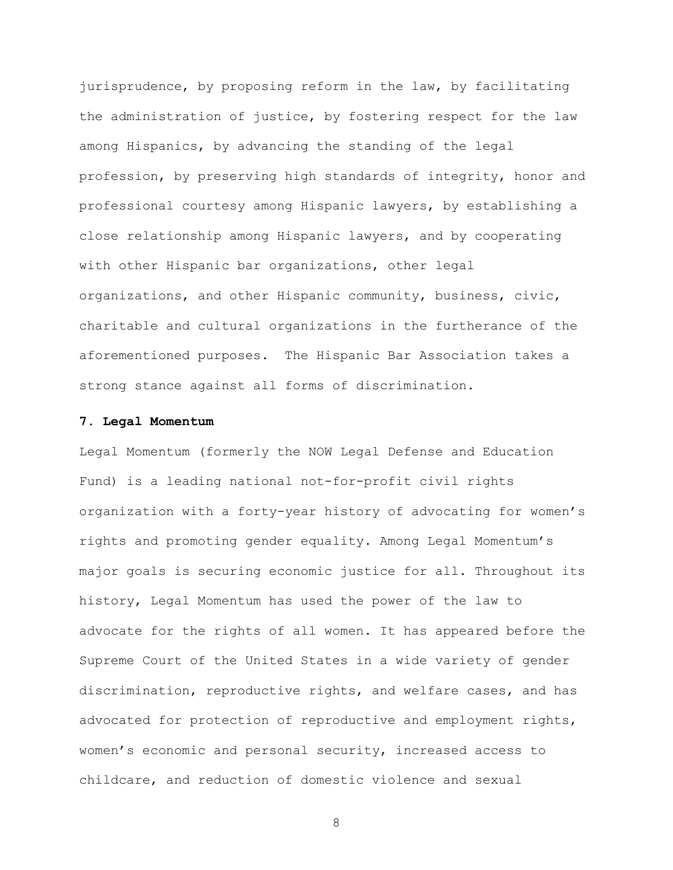jurisprudence, by proposing reform in the law, by facilitating the administration of justice, by fostering respect for the law among Hispanics, by advancing the standing of the legal profession, by preserving high standards of integrity, honor and professional courtesy among Hispanic lawyers, by establishing a close relationship among Hispanic lawyers, and by cooperating with other Hispanic bar organizations, other legal organizations, and other Hispanic community, business, civic, charitable and cultural organizations in the furtherance of the aforementioned purposes. The Hispanic Bar Association takes a strong stance against all forms of discrimination.

### **7. Legal Momentum**

Legal Momentum (formerly the NOW Legal Defense and Education Fund) is a leading national not-for-profit civil rights organization with a forty-year history of advocating for women"s rights and promoting gender equality. Among Legal Momentum"s major goals is securing economic justice for all. Throughout its history, Legal Momentum has used the power of the law to advocate for the rights of all women. It has appeared before the Supreme Court of the United States in a wide variety of gender discrimination, reproductive rights, and welfare cases, and has advocated for protection of reproductive and employment rights, women"s economic and personal security, increased access to childcare, and reduction of domestic violence and sexual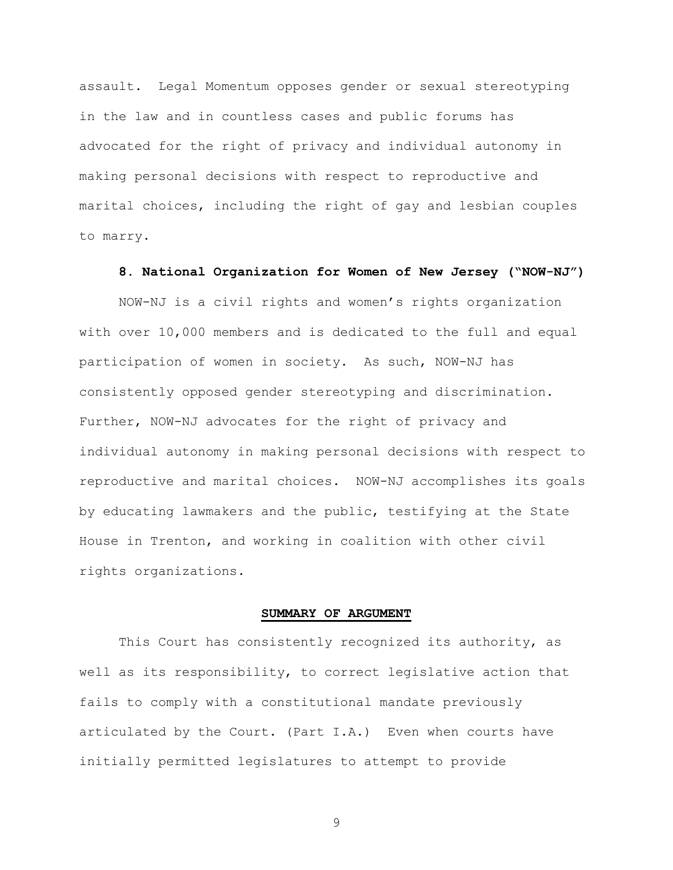assault. Legal Momentum opposes gender or sexual stereotyping in the law and in countless cases and public forums has advocated for the right of privacy and individual autonomy in making personal decisions with respect to reproductive and marital choices, including the right of gay and lesbian couples to marry.

### **8. National Organization for Women of New Jersey ("NOW-NJ")**

NOW-NJ is a civil rights and women"s rights organization with over 10,000 members and is dedicated to the full and equal participation of women in society. As such, NOW-NJ has consistently opposed gender stereotyping and discrimination. Further, NOW-NJ advocates for the right of privacy and individual autonomy in making personal decisions with respect to reproductive and marital choices. NOW-NJ accomplishes its goals by educating lawmakers and the public, testifying at the State House in Trenton, and working in coalition with other civil rights organizations.

#### **SUMMARY OF ARGUMENT**

This Court has consistently recognized its authority, as well as its responsibility, to correct legislative action that fails to comply with a constitutional mandate previously articulated by the Court. (Part I.A.) Even when courts have initially permitted legislatures to attempt to provide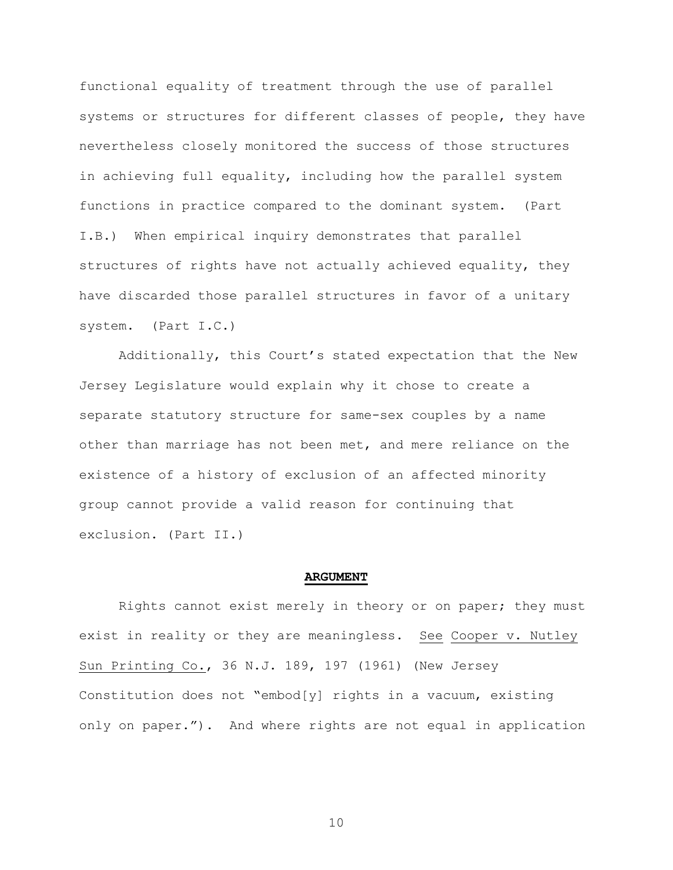functional equality of treatment through the use of parallel systems or structures for different classes of people, they have nevertheless closely monitored the success of those structures in achieving full equality, including how the parallel system functions in practice compared to the dominant system. (Part I.B.) When empirical inquiry demonstrates that parallel structures of rights have not actually achieved equality, they have discarded those parallel structures in favor of a unitary system. (Part I.C.)

Additionally, this Court"s stated expectation that the New Jersey Legislature would explain why it chose to create a separate statutory structure for same-sex couples by a name other than marriage has not been met, and mere reliance on the existence of a history of exclusion of an affected minority group cannot provide a valid reason for continuing that exclusion. (Part II.)

#### **ARGUMENT**

Rights cannot exist merely in theory or on paper; they must exist in reality or they are meaningless. See Cooper v. Nutley Sun Printing Co., 36 N.J. 189, 197 (1961) (New Jersey Constitution does not "embod[y] rights in a vacuum, existing only on paper."). And where rights are not equal in application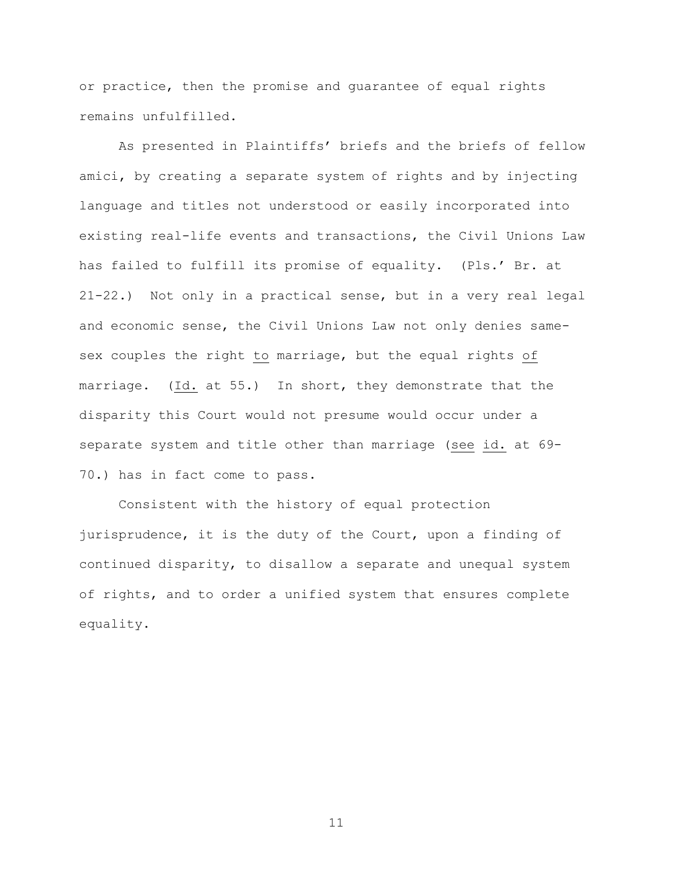or practice, then the promise and guarantee of equal rights remains unfulfilled.

As presented in Plaintiffs' briefs and the briefs of fellow amici, by creating a separate system of rights and by injecting language and titles not understood or easily incorporated into existing real-life events and transactions, the Civil Unions Law has failed to fulfill its promise of equality. (Pls." Br. at 21-22.) Not only in a practical sense, but in a very real legal and economic sense, the Civil Unions Law not only denies samesex couples the right to marriage, but the equal rights of marriage. (Id. at 55.) In short, they demonstrate that the disparity this Court would not presume would occur under a separate system and title other than marriage (see id. at 69- 70.) has in fact come to pass.

Consistent with the history of equal protection jurisprudence, it is the duty of the Court, upon a finding of continued disparity, to disallow a separate and unequal system of rights, and to order a unified system that ensures complete equality.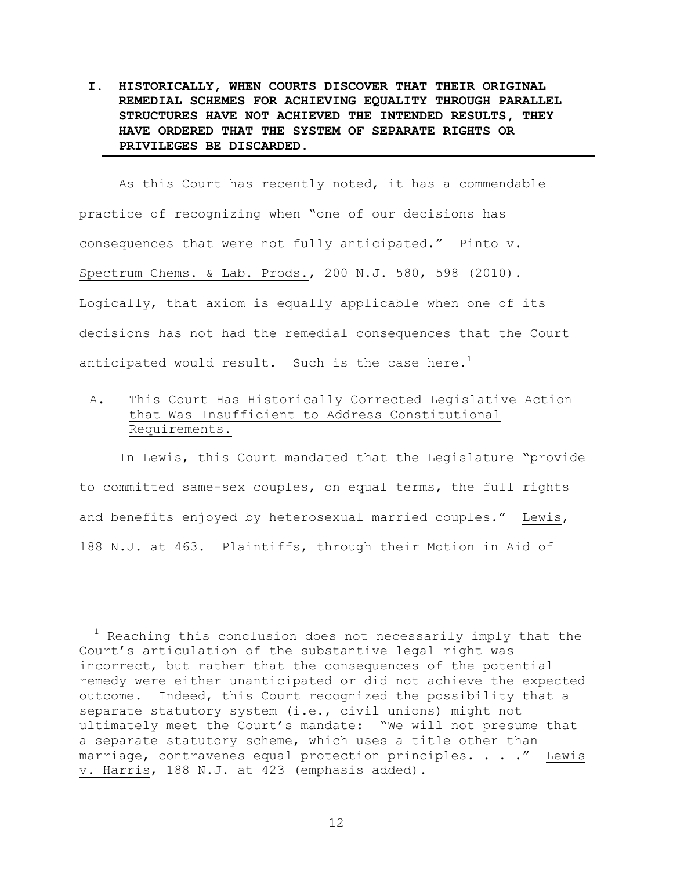**I. HISTORICALLY, WHEN COURTS DISCOVER THAT THEIR ORIGINAL REMEDIAL SCHEMES FOR ACHIEVING EQUALITY THROUGH PARALLEL STRUCTURES HAVE NOT ACHIEVED THE INTENDED RESULTS, THEY HAVE ORDERED THAT THE SYSTEM OF SEPARATE RIGHTS OR PRIVILEGES BE DISCARDED.**

As this Court has recently noted, it has a commendable practice of recognizing when "one of our decisions has consequences that were not fully anticipated." Pinto v. Spectrum Chems. & Lab. Prods., 200 N.J. 580, 598 (2010). Logically, that axiom is equally applicable when one of its decisions has not had the remedial consequences that the Court anticipated would result. Such is the case here.<sup>1</sup>

A. This Court Has Historically Corrected Legislative Action that Was Insufficient to Address Constitutional Requirements.

In Lewis, this Court mandated that the Legislature "provide to committed same-sex couples, on equal terms, the full rights and benefits enjoyed by heterosexual married couples." Lewis, 188 N.J. at 463. Plaintiffs, through their Motion in Aid of

a<br>B

 $1$  Reaching this conclusion does not necessarily imply that the Court"s articulation of the substantive legal right was incorrect, but rather that the consequences of the potential remedy were either unanticipated or did not achieve the expected outcome. Indeed, this Court recognized the possibility that a separate statutory system (i.e., civil unions) might not ultimately meet the Court's mandate: "We will not presume that a separate statutory scheme, which uses a title other than marriage, contravenes equal protection principles. . . ." Lewis v. Harris, 188 N.J. at 423 (emphasis added).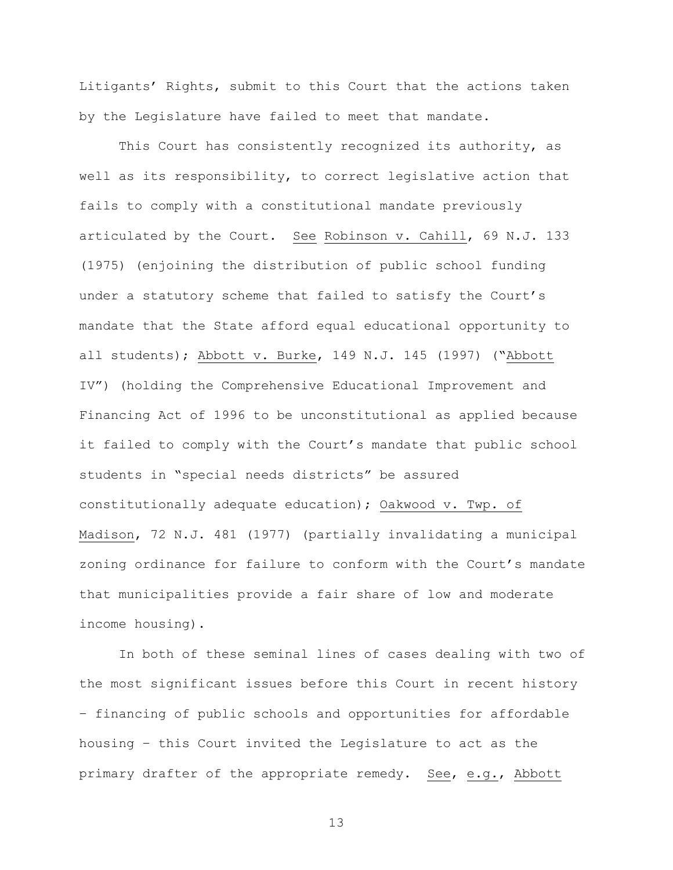Litigants' Rights, submit to this Court that the actions taken by the Legislature have failed to meet that mandate.

This Court has consistently recognized its authority, as well as its responsibility, to correct legislative action that fails to comply with a constitutional mandate previously articulated by the Court. See Robinson v. Cahill, 69 N.J. 133 (1975) (enjoining the distribution of public school funding under a statutory scheme that failed to satisfy the Court's mandate that the State afford equal educational opportunity to all students); Abbott v. Burke, 149 N.J. 145 (1997) ("Abbott IV") (holding the Comprehensive Educational Improvement and Financing Act of 1996 to be unconstitutional as applied because it failed to comply with the Court's mandate that public school students in "special needs districts" be assured constitutionally adequate education); Oakwood v. Twp. of Madison, 72 N.J. 481 (1977) (partially invalidating a municipal zoning ordinance for failure to conform with the Court's mandate that municipalities provide a fair share of low and moderate income housing).

In both of these seminal lines of cases dealing with two of the most significant issues before this Court in recent history – financing of public schools and opportunities for affordable housing – this Court invited the Legislature to act as the primary drafter of the appropriate remedy. See, e.g., Abbott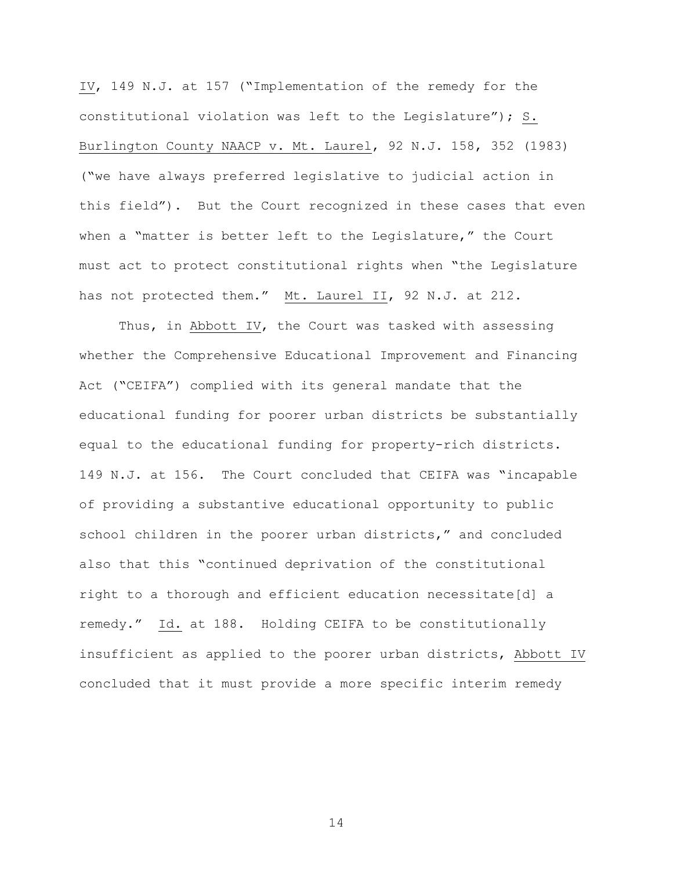IV, 149 N.J. at 157 ("Implementation of the remedy for the constitutional violation was left to the Legislature"); S. Burlington County NAACP v. Mt. Laurel, 92 N.J. 158, 352 (1983) ("we have always preferred legislative to judicial action in this field"). But the Court recognized in these cases that even when a "matter is better left to the Legislature," the Court must act to protect constitutional rights when "the Legislature has not protected them." Mt. Laurel II, 92 N.J. at 212.

Thus, in Abbott IV, the Court was tasked with assessing whether the Comprehensive Educational Improvement and Financing Act ("CEIFA") complied with its general mandate that the educational funding for poorer urban districts be substantially equal to the educational funding for property-rich districts. 149 N.J. at 156. The Court concluded that CEIFA was "incapable of providing a substantive educational opportunity to public school children in the poorer urban districts," and concluded also that this "continued deprivation of the constitutional right to a thorough and efficient education necessitate[d] a remedy." Id. at 188. Holding CEIFA to be constitutionally insufficient as applied to the poorer urban districts, Abbott IV concluded that it must provide a more specific interim remedy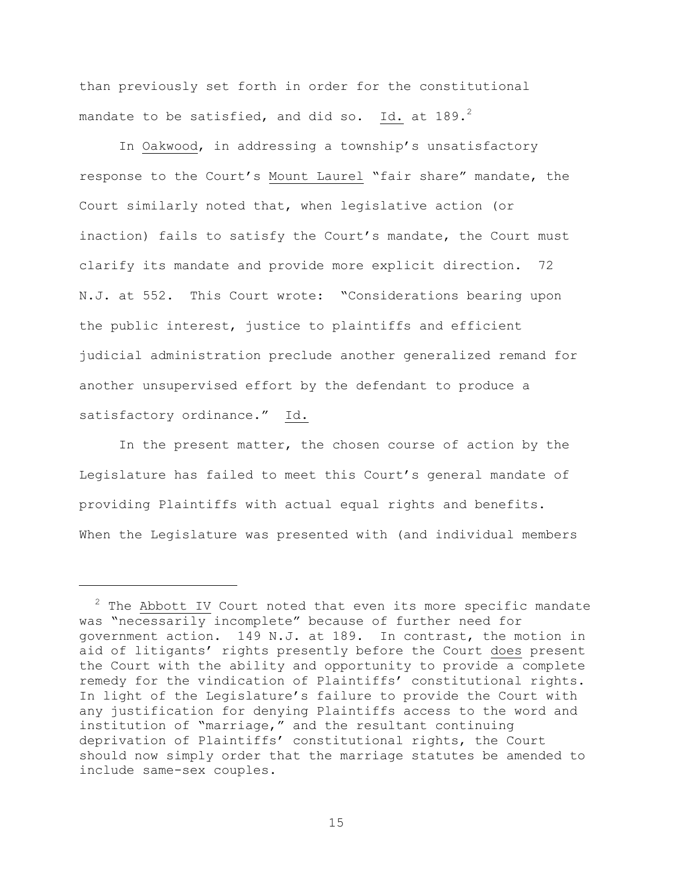than previously set forth in order for the constitutional mandate to be satisfied, and did so. Id. at 189. $^2$ 

In Oakwood, in addressing a township's unsatisfactory response to the Court's Mount Laurel "fair share" mandate, the Court similarly noted that, when legislative action (or inaction) fails to satisfy the Court's mandate, the Court must clarify its mandate and provide more explicit direction. 72 N.J. at 552. This Court wrote: "Considerations bearing upon the public interest, justice to plaintiffs and efficient judicial administration preclude another generalized remand for another unsupervised effort by the defendant to produce a satisfactory ordinance." Id.

In the present matter, the chosen course of action by the Legislature has failed to meet this Court's general mandate of providing Plaintiffs with actual equal rights and benefits. When the Legislature was presented with (and individual members

a<br>B

 $2$  The Abbott IV Court noted that even its more specific mandate was "necessarily incomplete" because of further need for government action. 149 N.J. at 189. In contrast, the motion in aid of litigants' rights presently before the Court does present the Court with the ability and opportunity to provide a complete remedy for the vindication of Plaintiffs" constitutional rights. In light of the Legislature's failure to provide the Court with any justification for denying Plaintiffs access to the word and institution of "marriage," and the resultant continuing deprivation of Plaintiffs" constitutional rights, the Court should now simply order that the marriage statutes be amended to include same-sex couples.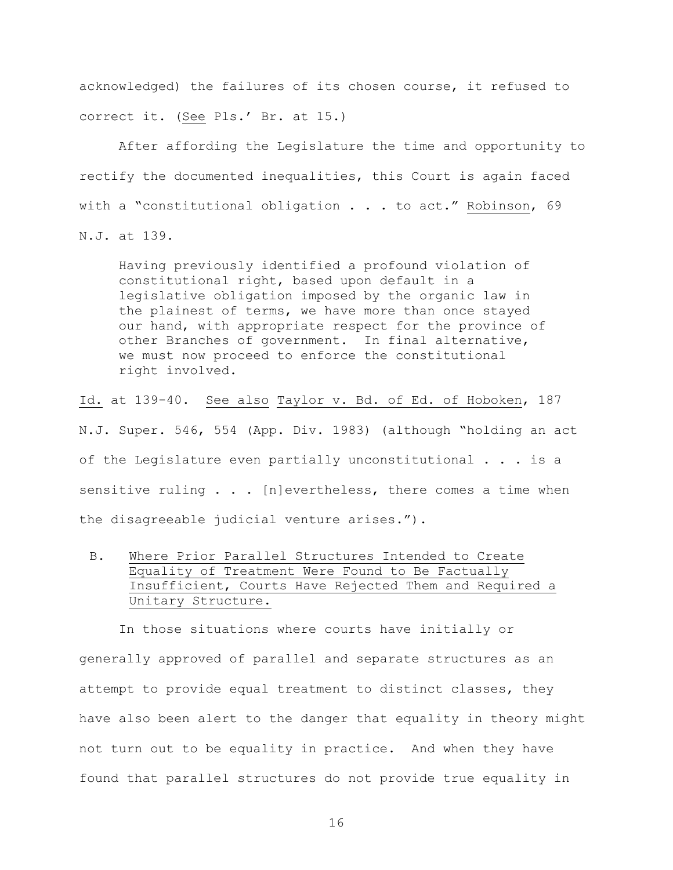acknowledged) the failures of its chosen course, it refused to correct it. (See Pls.' Br. at 15.)

After affording the Legislature the time and opportunity to rectify the documented inequalities, this Court is again faced with a "constitutional obligation . . . to act." Robinson, 69 N.J. at 139.

Having previously identified a profound violation of constitutional right, based upon default in a legislative obligation imposed by the organic law in the plainest of terms, we have more than once stayed our hand, with appropriate respect for the province of other Branches of government. In final alternative, we must now proceed to enforce the constitutional right involved.

Id. at 139-40. See also Taylor v. Bd. of Ed. of Hoboken, 187 N.J. Super. 546, 554 (App. Div. 1983) (although "holding an act of the Legislature even partially unconstitutional . . . is a sensitive ruling . . . [n]evertheless, there comes a time when the disagreeable judicial venture arises.").

B. Where Prior Parallel Structures Intended to Create Equality of Treatment Were Found to Be Factually Insufficient, Courts Have Rejected Them and Required a Unitary Structure.

In those situations where courts have initially or generally approved of parallel and separate structures as an attempt to provide equal treatment to distinct classes, they have also been alert to the danger that equality in theory might not turn out to be equality in practice. And when they have found that parallel structures do not provide true equality in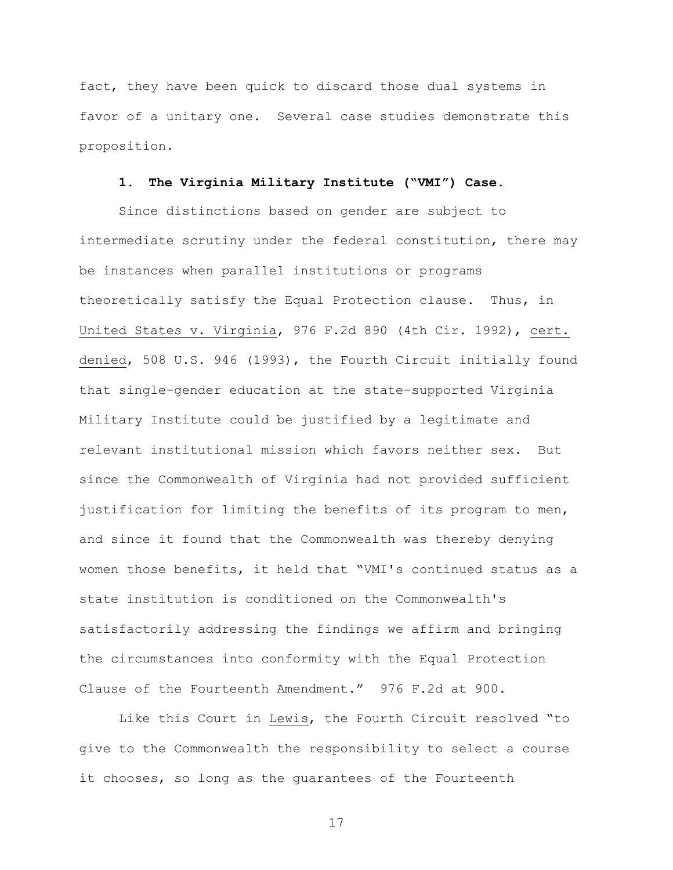fact, they have been quick to discard those dual systems in favor of a unitary one. Several case studies demonstrate this proposition.

### **1. The Virginia Military Institute ("VMI") Case.**

Since distinctions based on gender are subject to intermediate scrutiny under the federal constitution, there may be instances when parallel institutions or programs theoretically satisfy the Equal Protection clause. Thus, in United States v. Virginia, 976 F.2d 890 (4th Cir. 1992), cert. denied, 508 U.S. 946 (1993), the Fourth Circuit initially found that single-gender education at the state-supported Virginia Military Institute could be justified by a legitimate and relevant institutional mission which favors neither sex. But since the Commonwealth of Virginia had not provided sufficient justification for limiting the benefits of its program to men, and since it found that the Commonwealth was thereby denying women those benefits, it held that "VMI's continued status as a state institution is conditioned on the Commonwealth's satisfactorily addressing the findings we affirm and bringing the circumstances into conformity with the Equal Protection Clause of the Fourteenth Amendment." 976 F.2d at 900.

Like this Court in Lewis, the Fourth Circuit resolved "to give to the Commonwealth the responsibility to select a course it chooses, so long as the guarantees of the Fourteenth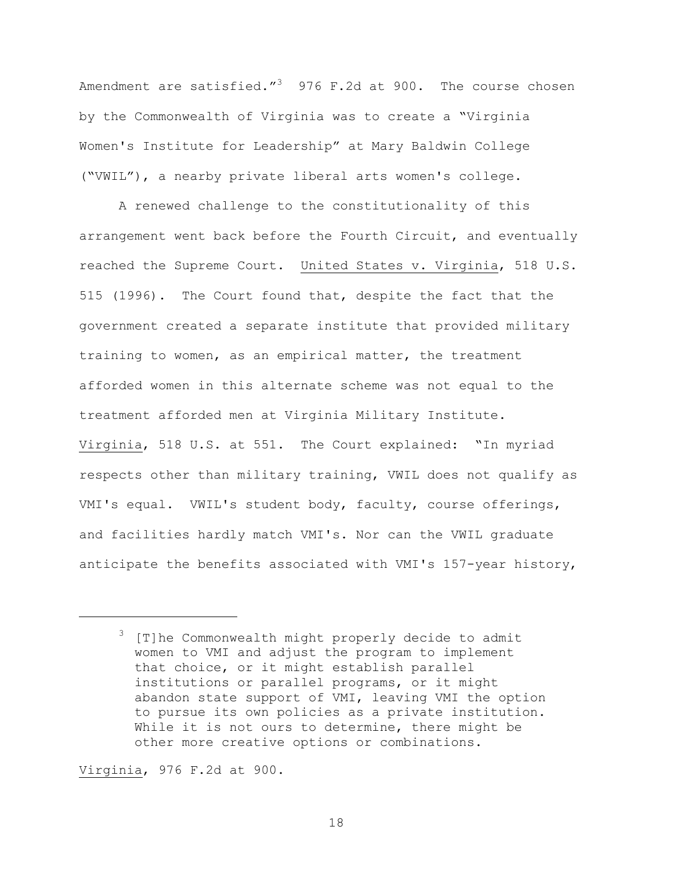Amendment are satisfied." $3$  976 F.2d at 900. The course chosen by the Commonwealth of Virginia was to create a "Virginia Women's Institute for Leadership" at Mary Baldwin College ("VWIL"), a nearby private liberal arts women's college.

A renewed challenge to the constitutionality of this arrangement went back before the Fourth Circuit, and eventually reached the Supreme Court. United States v. Virginia, 518 U.S. 515 (1996). The Court found that, despite the fact that the government created a separate institute that provided military training to women, as an empirical matter, the treatment afforded women in this alternate scheme was not equal to the treatment afforded men at Virginia Military Institute. Virginia, 518 U.S. at 551. The Court explained: "In myriad respects other than military training, VWIL does not qualify as VMI's equal. VWIL's student body, faculty, course offerings, and facilities hardly match VMI's. Nor can the VWIL graduate anticipate the benefits associated with VMI's 157-year history,

Virginia, 976 F.2d at 900.

a<br>B

<sup>&</sup>lt;sup>3</sup> [T]he Commonwealth might properly decide to admit women to VMI and adjust the program to implement that choice, or it might establish parallel institutions or parallel programs, or it might abandon state support of VMI, leaving VMI the option to pursue its own policies as a private institution. While it is not ours to determine, there might be other more creative options or combinations.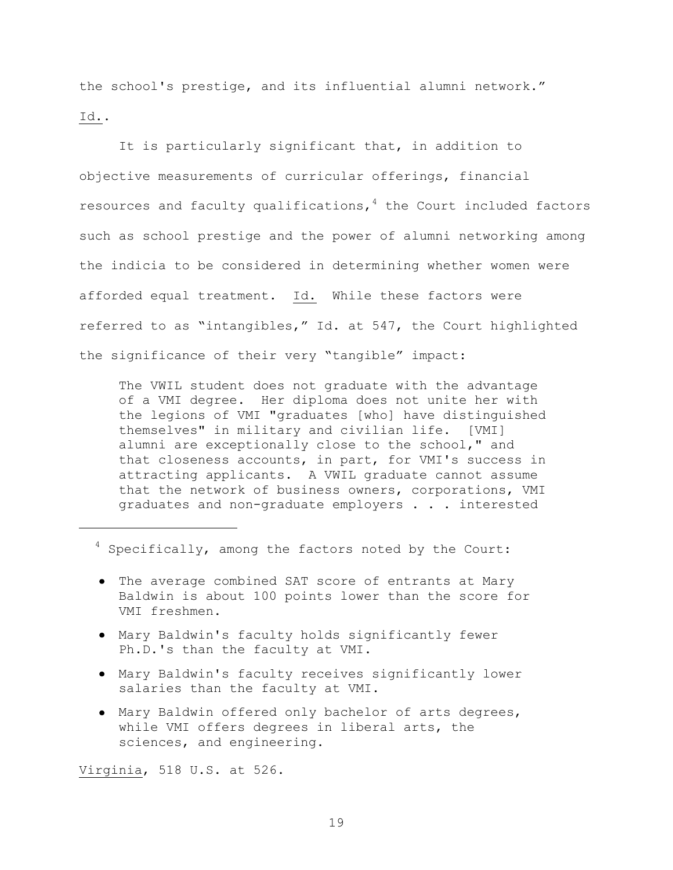the school's prestige, and its influential alumni network." Id..

It is particularly significant that, in addition to objective measurements of curricular offerings, financial resources and faculty qualifications, $4$  the Court included factors such as school prestige and the power of alumni networking among the indicia to be considered in determining whether women were afforded equal treatment. Id. While these factors were referred to as "intangibles," Id. at 547, the Court highlighted the significance of their very "tangible" impact:

The VWIL student does not graduate with the advantage of a VMI degree. Her diploma does not unite her with the legions of VMI "graduates [who] have distinguished themselves" in military and civilian life. [VMI] alumni are exceptionally close to the school," and that closeness accounts, in part, for VMI's success in attracting applicants. A VWIL graduate cannot assume that the network of business owners, corporations, VMI graduates and non-graduate employers . . . interested

<sup>4</sup> Specifically, among the factors noted by the Court:

- The average combined SAT score of entrants at Mary Baldwin is about 100 points lower than the score for VMI freshmen.
- Mary Baldwin's faculty holds significantly fewer Ph.D.'s than the faculty at VMI.
- Mary Baldwin's faculty receives significantly lower salaries than the faculty at VMI.
- Mary Baldwin offered only bachelor of arts degrees, while VMI offers degrees in liberal arts, the sciences, and engineering.

Virginia, 518 U.S. at 526.

L,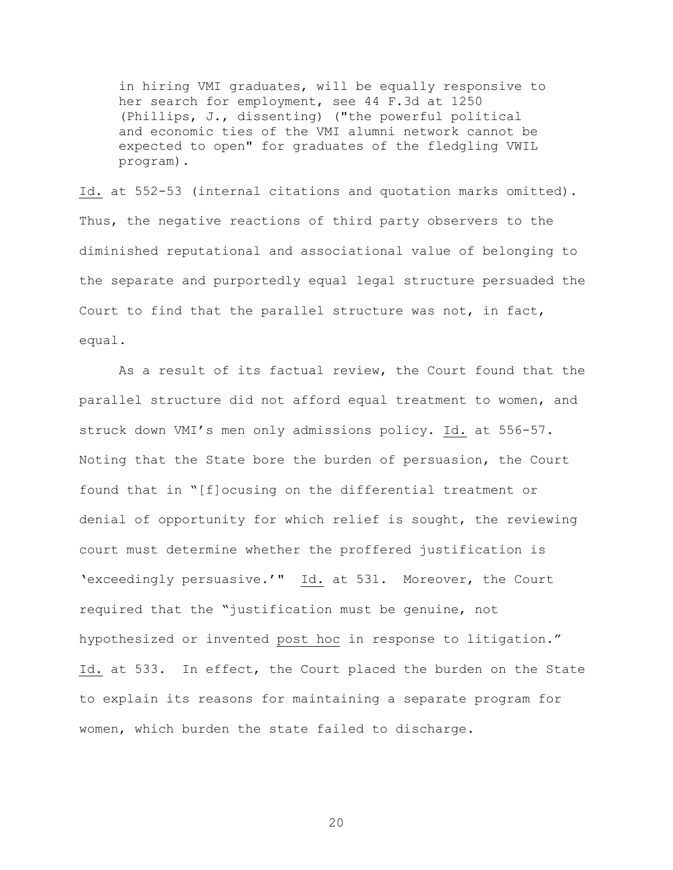in hiring VMI graduates, will be equally responsive to her search for employment, see 44 F.3d at 1250 (Phillips, J., dissenting) ("the powerful political and economic ties of the VMI alumni network cannot be expected to open" for graduates of the fledgling VWIL program).

Id. at 552-53 (internal citations and quotation marks omitted). Thus, the negative reactions of third party observers to the diminished reputational and associational value of belonging to the separate and purportedly equal legal structure persuaded the Court to find that the parallel structure was not, in fact, equal.

As a result of its factual review, the Court found that the parallel structure did not afford equal treatment to women, and struck down VMI"s men only admissions policy. Id. at 556-57. Noting that the State bore the burden of persuasion, the Court found that in "[f]ocusing on the differential treatment or denial of opportunity for which relief is sought, the reviewing court must determine whether the proffered justification is 'exceedingly persuasive.'"  $\underline{Id.}$  at 531. Moreover, the Court required that the "justification must be genuine, not hypothesized or invented post hoc in response to litigation." Id. at 533. In effect, the Court placed the burden on the State to explain its reasons for maintaining a separate program for women, which burden the state failed to discharge.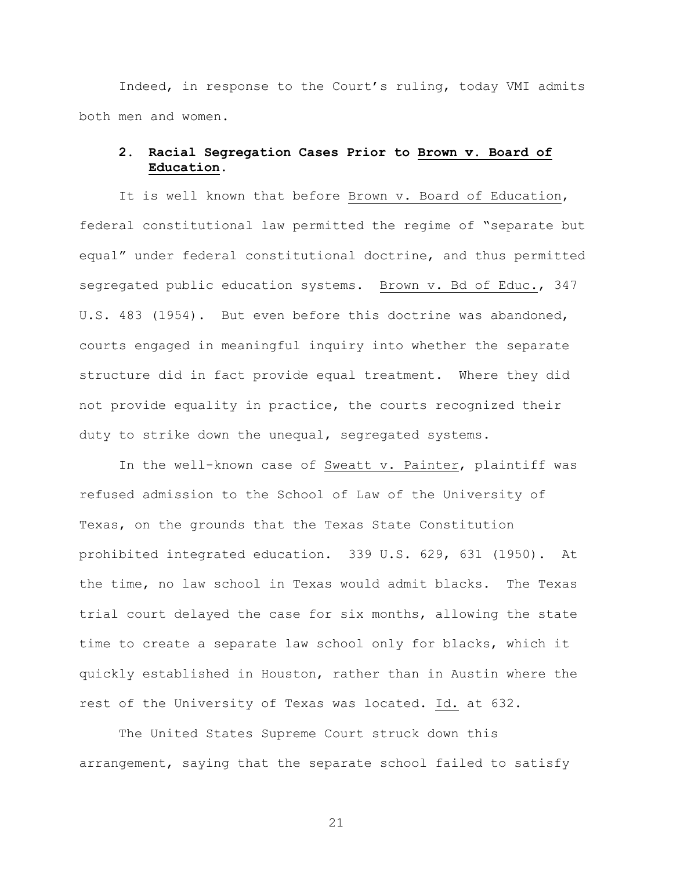Indeed, in response to the Court"s ruling, today VMI admits both men and women.

## **2. Racial Segregation Cases Prior to Brown v. Board of Education.**

It is well known that before Brown v. Board of Education, federal constitutional law permitted the regime of "separate but equal" under federal constitutional doctrine, and thus permitted segregated public education systems. Brown v. Bd of Educ., 347 U.S. 483 (1954). But even before this doctrine was abandoned, courts engaged in meaningful inquiry into whether the separate structure did in fact provide equal treatment. Where they did not provide equality in practice, the courts recognized their duty to strike down the unequal, segregated systems.

In the well-known case of Sweatt v. Painter, plaintiff was refused admission to the School of Law of the University of Texas, on the grounds that the Texas State Constitution prohibited integrated education. 339 U.S. 629, 631 (1950). At the time, no law school in Texas would admit blacks. The Texas trial court delayed the case for six months, allowing the state time to create a separate law school only for blacks, which it quickly established in Houston, rather than in Austin where the rest of the University of Texas was located. Id. at 632.

The United States Supreme Court struck down this arrangement, saying that the separate school failed to satisfy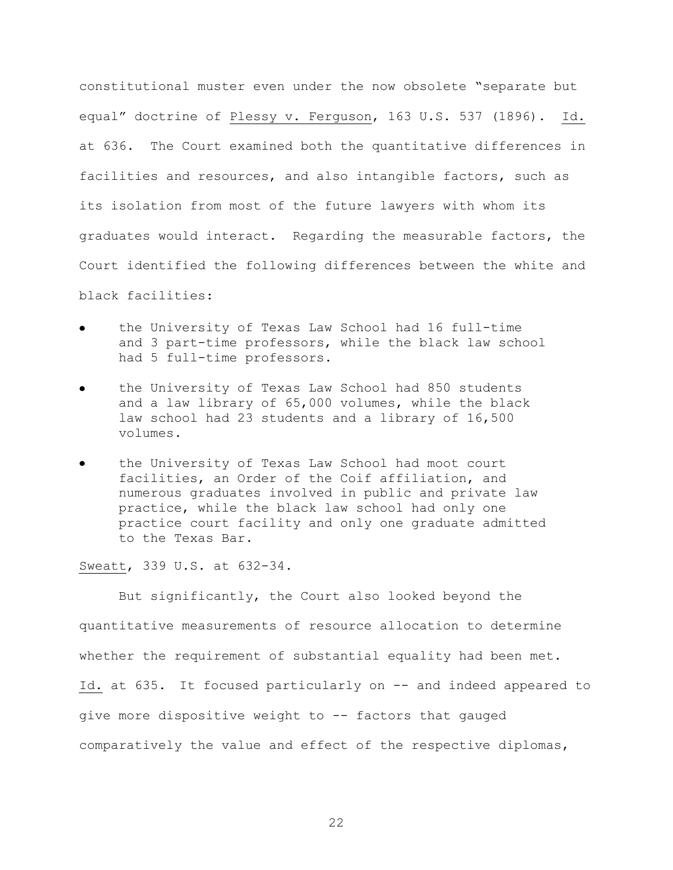constitutional muster even under the now obsolete "separate but equal" doctrine of Plessy v. Ferguson, 163 U.S. 537 (1896). Id. at 636. The Court examined both the quantitative differences in facilities and resources, and also intangible factors, such as its isolation from most of the future lawyers with whom its graduates would interact. Regarding the measurable factors, the Court identified the following differences between the white and black facilities:

- the University of Texas Law School had 16 full-time and 3 part-time professors, while the black law school had 5 full-time professors.
- the University of Texas Law School had 850 students and a law library of 65,000 volumes, while the black law school had 23 students and a library of 16,500 volumes.
- the University of Texas Law School had moot court facilities, an Order of the Coif affiliation, and numerous graduates involved in public and private law practice, while the black law school had only one practice court facility and only one graduate admitted to the Texas Bar.

Sweatt, 339 U.S. at 632-34.

But significantly, the Court also looked beyond the quantitative measurements of resource allocation to determine whether the requirement of substantial equality had been met. Id. at 635. It focused particularly on -- and indeed appeared to give more dispositive weight to -- factors that gauged comparatively the value and effect of the respective diplomas,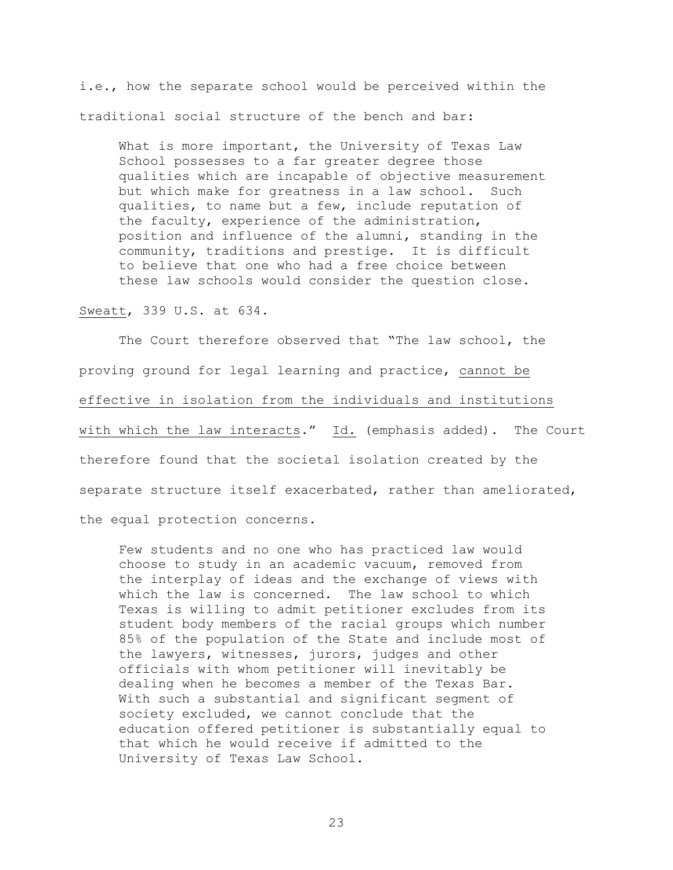i.e., how the separate school would be perceived within the traditional social structure of the bench and bar:

What is more important, the University of Texas Law School possesses to a far greater degree those qualities which are incapable of objective measurement but which make for greatness in a law school. Such qualities, to name but a few, include reputation of the faculty, experience of the administration, position and influence of the alumni, standing in the community, traditions and prestige. It is difficult to believe that one who had a free choice between these law schools would consider the question close.

Sweatt, 339 U.S. at 634.

The Court therefore observed that "The law school, the proving ground for legal learning and practice, cannot be effective in isolation from the individuals and institutions with which the law interacts." Id. (emphasis added). The Court therefore found that the societal isolation created by the separate structure itself exacerbated, rather than ameliorated, the equal protection concerns.

Few students and no one who has practiced law would choose to study in an academic vacuum, removed from the interplay of ideas and the exchange of views with which the law is concerned. The law school to which Texas is willing to admit petitioner excludes from its student body members of the racial groups which number 85% of the population of the State and include most of the lawyers, witnesses, jurors, judges and other officials with whom petitioner will inevitably be dealing when he becomes a member of the Texas Bar. With such a substantial and significant segment of society excluded, we cannot conclude that the education offered petitioner is substantially equal to that which he would receive if admitted to the University of Texas Law School.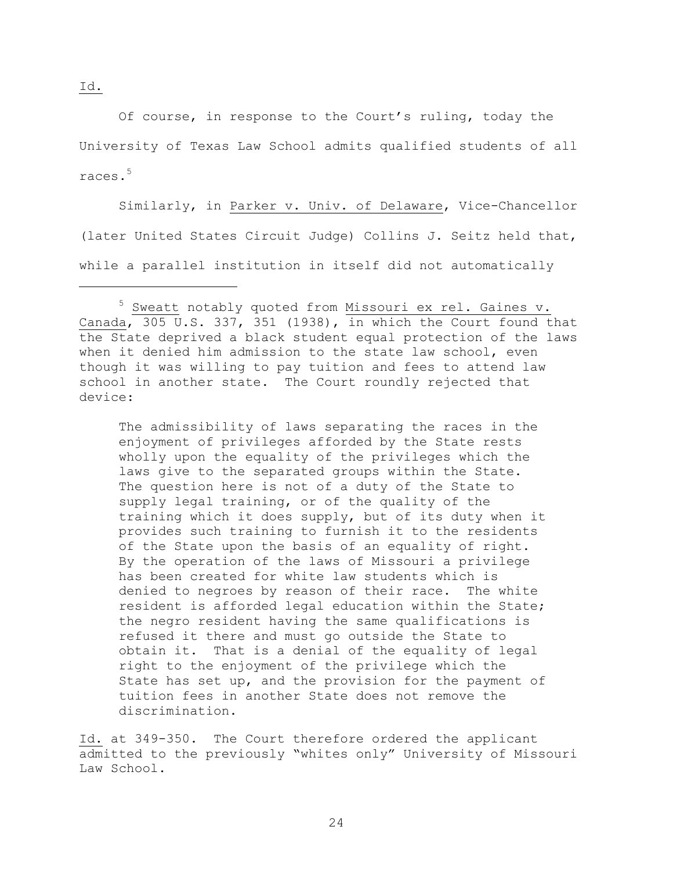Of course, in response to the Court"s ruling, today the University of Texas Law School admits qualified students of all races.<sup>5</sup>

Similarly, in Parker v. Univ. of Delaware, Vice-Chancellor (later United States Circuit Judge) Collins J. Seitz held that, while a parallel institution in itself did not automatically

The admissibility of laws separating the races in the enjoyment of privileges afforded by the State rests wholly upon the equality of the privileges which the laws give to the separated groups within the State. The question here is not of a duty of the State to supply legal training, or of the quality of the training which it does supply, but of its duty when it provides such training to furnish it to the residents of the State upon the basis of an equality of right. By the operation of the laws of Missouri a privilege has been created for white law students which is denied to negroes by reason of their race. The white resident is afforded legal education within the State; the negro resident having the same qualifications is refused it there and must go outside the State to obtain it. That is a denial of the equality of legal right to the enjoyment of the privilege which the State has set up, and the provision for the payment of tuition fees in another State does not remove the discrimination.

Id. at 349-350. The Court therefore ordered the applicant admitted to the previously "whites only" University of Missouri Law School.

Id.

a<br>B

<sup>&</sup>lt;sup>5</sup> Sweatt notably quoted from Missouri ex rel. Gaines v. Canada,  $\overline{305}$  U.S. 337, 351 (1938), in which the Court found that the State deprived a black student equal protection of the laws when it denied him admission to the state law school, even though it was willing to pay tuition and fees to attend law school in another state. The Court roundly rejected that device: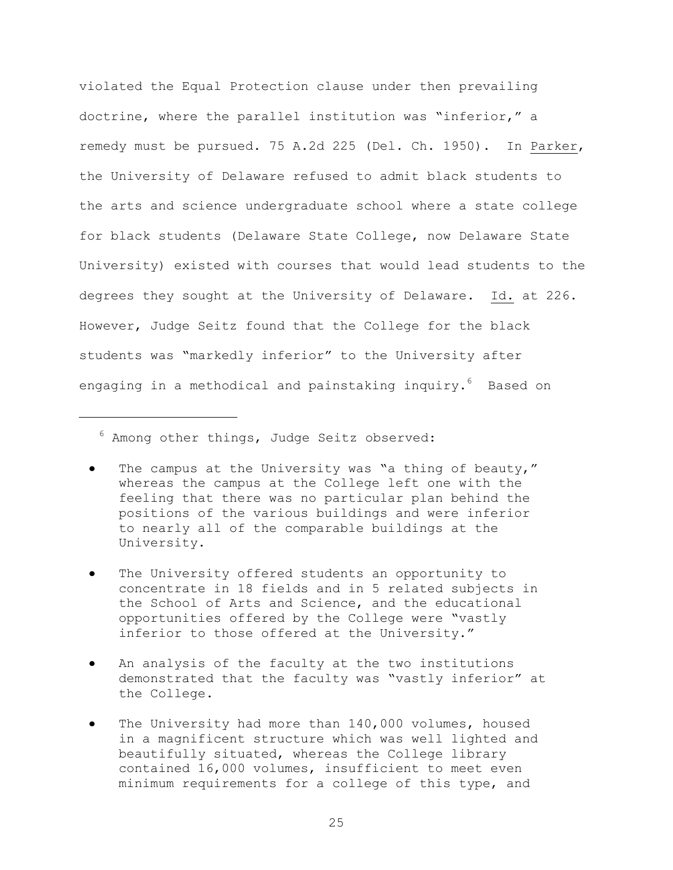violated the Equal Protection clause under then prevailing doctrine, where the parallel institution was "inferior," a remedy must be pursued. 75 A.2d 225 (Del. Ch. 1950). In Parker, the University of Delaware refused to admit black students to the arts and science undergraduate school where a state college for black students (Delaware State College, now Delaware State University) existed with courses that would lead students to the degrees they sought at the University of Delaware. Id. at 226. However, Judge Seitz found that the College for the black students was "markedly inferior" to the University after engaging in a methodical and painstaking inquiry.<sup>6</sup> Based on

 $6$  Among other things, Judge Seitz observed:

a<br>B

- The campus at the University was "a thing of beauty," whereas the campus at the College left one with the feeling that there was no particular plan behind the positions of the various buildings and were inferior to nearly all of the comparable buildings at the University.
- The University offered students an opportunity to concentrate in 18 fields and in 5 related subjects in the School of Arts and Science, and the educational opportunities offered by the College were "vastly inferior to those offered at the University."
- An analysis of the faculty at the two institutions demonstrated that the faculty was "vastly inferior" at the College.
- The University had more than 140,000 volumes, housed in a magnificent structure which was well lighted and beautifully situated, whereas the College library contained 16,000 volumes, insufficient to meet even minimum requirements for a college of this type, and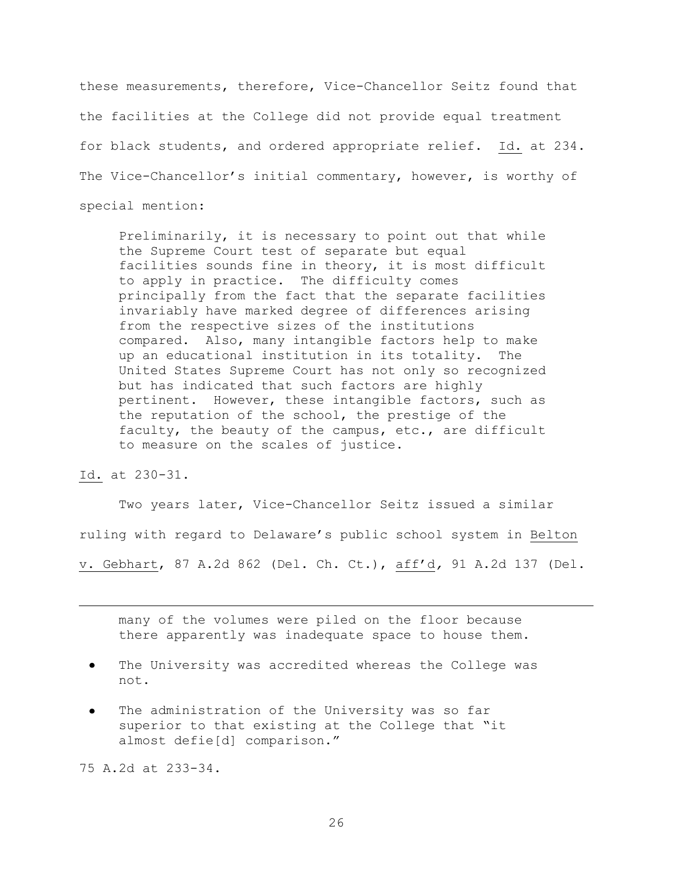these measurements, therefore, Vice-Chancellor Seitz found that the facilities at the College did not provide equal treatment for black students, and ordered appropriate relief. Id. at 234. The Vice-Chancellor's initial commentary, however, is worthy of special mention:

Preliminarily, it is necessary to point out that while the Supreme Court test of separate but equal facilities sounds fine in theory, it is most difficult to apply in practice. The difficulty comes principally from the fact that the separate facilities invariably have marked degree of differences arising from the respective sizes of the institutions compared. Also, many intangible factors help to make up an educational institution in its totality. The United States Supreme Court has not only so recognized but has indicated that such factors are highly pertinent. However, these intangible factors, such as the reputation of the school, the prestige of the faculty, the beauty of the campus, etc., are difficult to measure on the scales of justice.

## Id. at 230-31.

a<br>B

Two years later, Vice-Chancellor Seitz issued a similar ruling with regard to Delaware"s public school system in Belton v. Gebhart, 87 A.2d 862 (Del. Ch. Ct.), aff"d*,* 91 A.2d 137 (Del.

many of the volumes were piled on the floor because there apparently was inadequate space to house them.

- The University was accredited whereas the College was not.
- The administration of the University was so far superior to that existing at the College that "it almost defie[d] comparison."

75 A.2d at 233-34.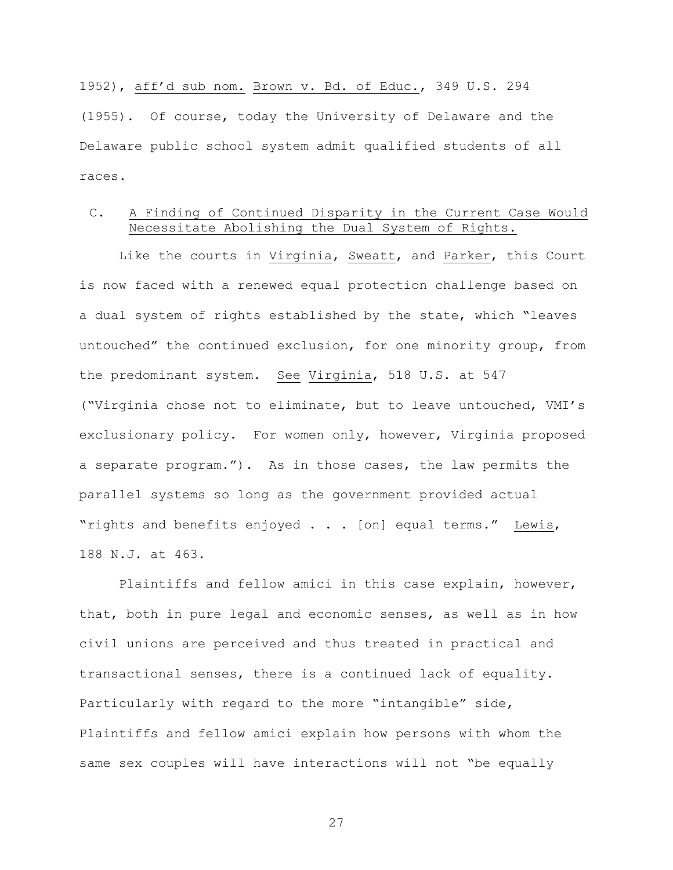1952), aff"d sub nom. Brown v. Bd. of Educ., 349 U.S. 294 (1955). Of course, today the University of Delaware and the Delaware public school system admit qualified students of all races.

## C. A Finding of Continued Disparity in the Current Case Would Necessitate Abolishing the Dual System of Rights.

Like the courts in Virginia, Sweatt, and Parker, this Court is now faced with a renewed equal protection challenge based on a dual system of rights established by the state, which "leaves untouched" the continued exclusion, for one minority group, from the predominant system. See Virginia, 518 U.S. at 547 ("Virginia chose not to eliminate, but to leave untouched, VMI"s exclusionary policy. For women only, however, Virginia proposed a separate program."). As in those cases, the law permits the parallel systems so long as the government provided actual "rights and benefits enjoyed . . . [on] equal terms." Lewis, 188 N.J. at 463.

Plaintiffs and fellow amici in this case explain, however, that, both in pure legal and economic senses, as well as in how civil unions are perceived and thus treated in practical and transactional senses, there is a continued lack of equality. Particularly with regard to the more "intangible" side, Plaintiffs and fellow amici explain how persons with whom the same sex couples will have interactions will not "be equally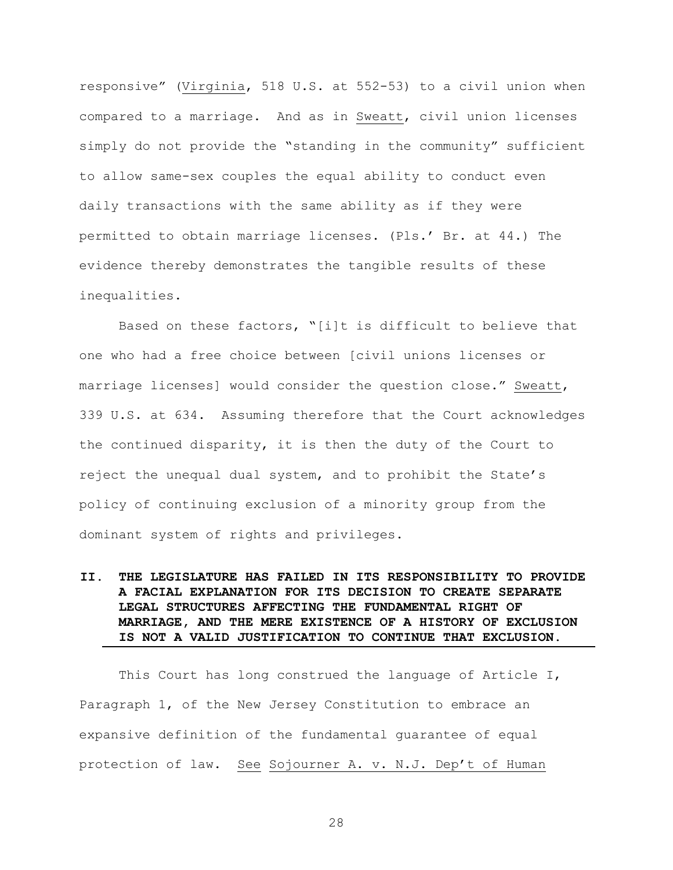responsive" (Virginia, 518 U.S. at 552-53) to a civil union when compared to a marriage. And as in Sweatt, civil union licenses simply do not provide the "standing in the community" sufficient to allow same-sex couples the equal ability to conduct even daily transactions with the same ability as if they were permitted to obtain marriage licenses. (Pls." Br. at 44.) The evidence thereby demonstrates the tangible results of these inequalities.

Based on these factors, "[i]t is difficult to believe that one who had a free choice between [civil unions licenses or marriage licenses] would consider the question close." Sweatt, 339 U.S. at 634. Assuming therefore that the Court acknowledges the continued disparity, it is then the duty of the Court to reject the unequal dual system, and to prohibit the State"s policy of continuing exclusion of a minority group from the dominant system of rights and privileges.

# **II. THE LEGISLATURE HAS FAILED IN ITS RESPONSIBILITY TO PROVIDE A FACIAL EXPLANATION FOR ITS DECISION TO CREATE SEPARATE LEGAL STRUCTURES AFFECTING THE FUNDAMENTAL RIGHT OF MARRIAGE, AND THE MERE EXISTENCE OF A HISTORY OF EXCLUSION IS NOT A VALID JUSTIFICATION TO CONTINUE THAT EXCLUSION.**

This Court has long construed the language of Article I, Paragraph 1, of the New Jersey Constitution to embrace an expansive definition of the fundamental guarantee of equal protection of law. See Sojourner A. v. N.J. Dep"t of Human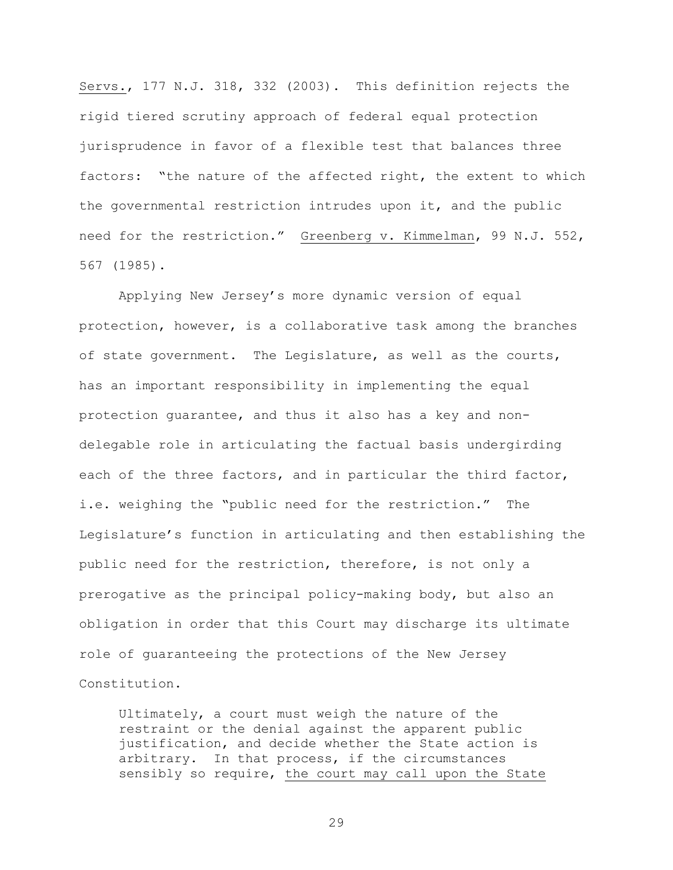Servs., 177 N.J. 318, 332 (2003). This definition rejects the rigid tiered scrutiny approach of federal equal protection jurisprudence in favor of a flexible test that balances three factors: "the nature of the affected right, the extent to which the governmental restriction intrudes upon it, and the public need for the restriction." Greenberg v. Kimmelman, 99 N.J. 552, 567 (1985).

Applying New Jersey"s more dynamic version of equal protection, however, is a collaborative task among the branches of state government. The Legislature, as well as the courts, has an important responsibility in implementing the equal protection guarantee, and thus it also has a key and nondelegable role in articulating the factual basis undergirding each of the three factors, and in particular the third factor, i.e. weighing the "public need for the restriction." The Legislature"s function in articulating and then establishing the public need for the restriction, therefore, is not only a prerogative as the principal policy-making body, but also an obligation in order that this Court may discharge its ultimate role of guaranteeing the protections of the New Jersey Constitution.

Ultimately, a court must weigh the nature of the restraint or the denial against the apparent public justification, and decide whether the State action is arbitrary. In that process, if the circumstances sensibly so require, the court may call upon the State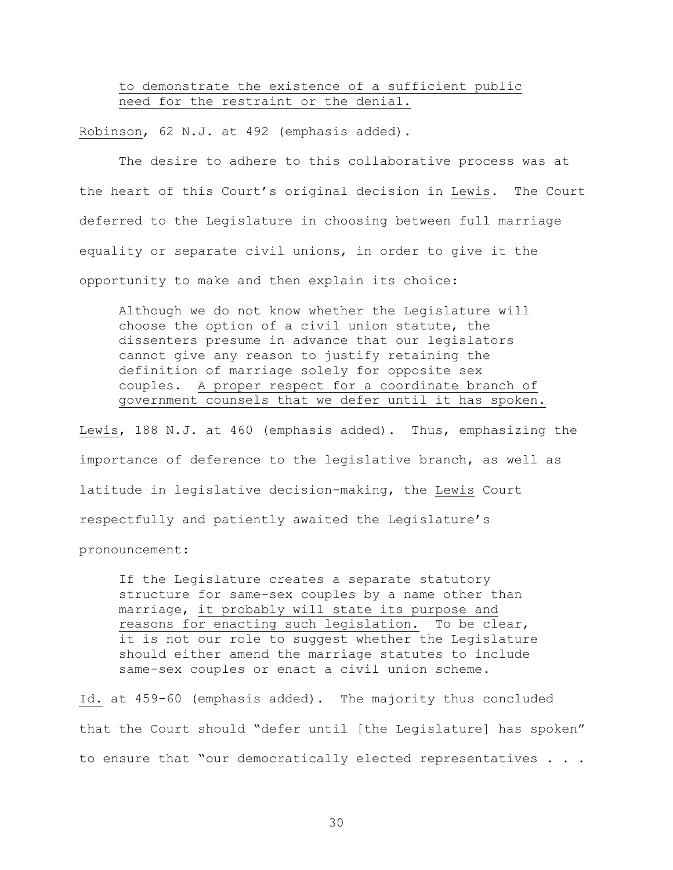to demonstrate the existence of a sufficient public need for the restraint or the denial.

Robinson, 62 N.J. at 492 (emphasis added).

The desire to adhere to this collaborative process was at the heart of this Court"s original decision in Lewis. The Court deferred to the Legislature in choosing between full marriage equality or separate civil unions, in order to give it the opportunity to make and then explain its choice:

Although we do not know whether the Legislature will choose the option of a civil union statute, the dissenters presume in advance that our legislators cannot give any reason to justify retaining the definition of marriage solely for opposite sex couples. A proper respect for a coordinate branch of government counsels that we defer until it has spoken.

Lewis, 188 N.J. at 460 (emphasis added). Thus, emphasizing the importance of deference to the legislative branch, as well as latitude in legislative decision-making, the Lewis Court respectfully and patiently awaited the Legislature"s

pronouncement:

If the Legislature creates a separate statutory structure for same-sex couples by a name other than marriage, it probably will state its purpose and reasons for enacting such legislation. To be clear, it is not our role to suggest whether the Legislature should either amend the marriage statutes to include same-sex couples or enact a civil union scheme.

Id. at 459-60 (emphasis added). The majority thus concluded that the Court should "defer until [the Legislature] has spoken" to ensure that "our democratically elected representatives . . .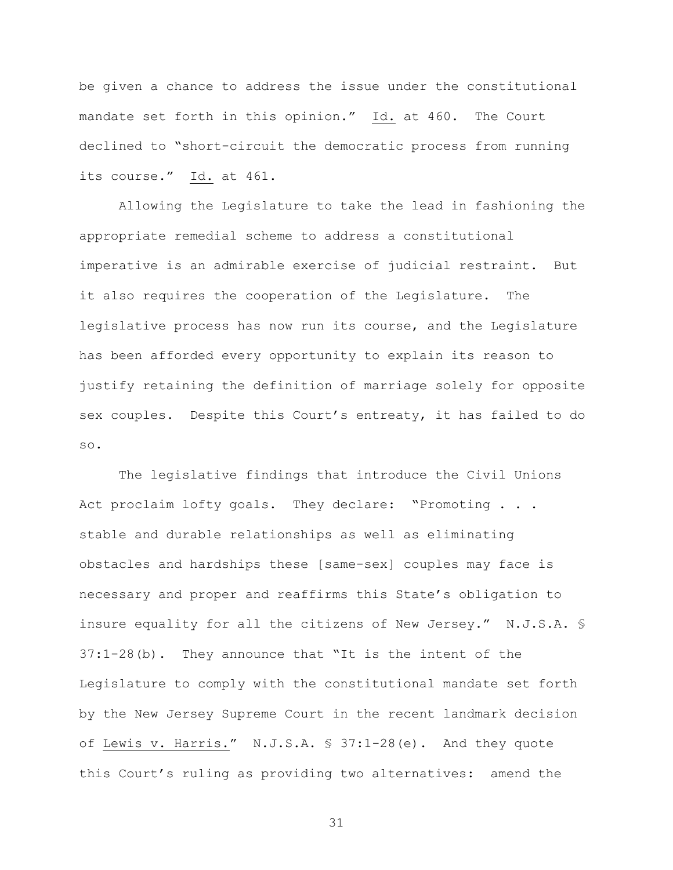be given a chance to address the issue under the constitutional mandate set forth in this opinion." Id. at 460. The Court declined to "short-circuit the democratic process from running its course." Id. at 461.

Allowing the Legislature to take the lead in fashioning the appropriate remedial scheme to address a constitutional imperative is an admirable exercise of judicial restraint. But it also requires the cooperation of the Legislature. The legislative process has now run its course, and the Legislature has been afforded every opportunity to explain its reason to justify retaining the definition of marriage solely for opposite sex couples. Despite this Court's entreaty, it has failed to do so.

The legislative findings that introduce the Civil Unions Act proclaim lofty goals. They declare: "Promoting . . . stable and durable relationships as well as eliminating obstacles and hardships these [same-sex] couples may face is necessary and proper and reaffirms this State"s obligation to insure equality for all the citizens of New Jersey." N.J.S.A. § 37:1-28(b). They announce that "It is the intent of the Legislature to comply with the constitutional mandate set forth by the New Jersey Supreme Court in the recent landmark decision of Lewis v. Harris." N.J.S.A. § 37:1-28(e). And they quote this Court"s ruling as providing two alternatives: amend the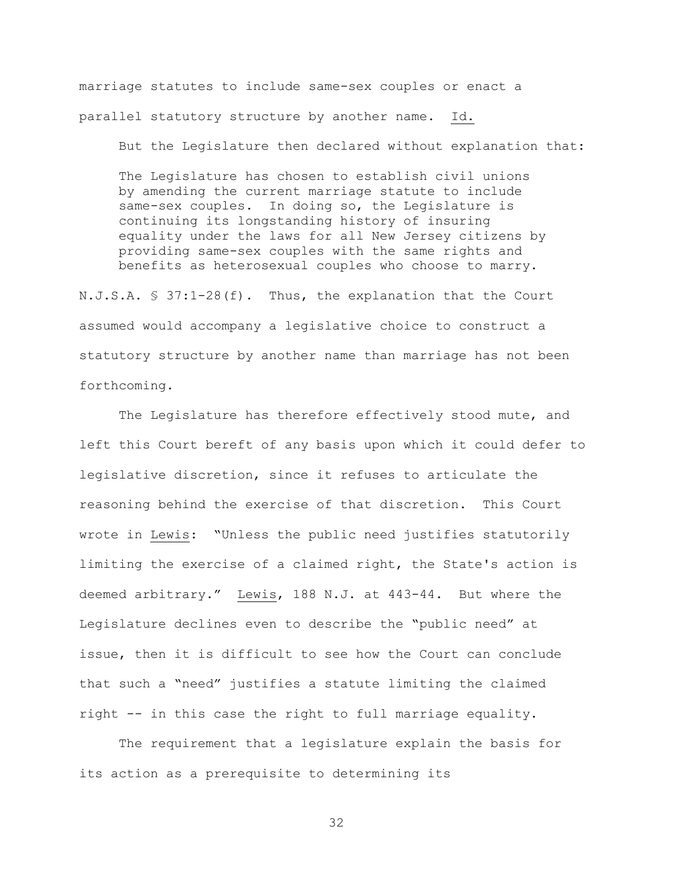marriage statutes to include same-sex couples or enact a parallel statutory structure by another name. Id.

But the Legislature then declared without explanation that:

The Legislature has chosen to establish civil unions by amending the current marriage statute to include same-sex couples. In doing so, the Legislature is continuing its longstanding history of insuring equality under the laws for all New Jersey citizens by providing same-sex couples with the same rights and benefits as heterosexual couples who choose to marry.

N.J.S.A. § 37:1-28(f). Thus, the explanation that the Court assumed would accompany a legislative choice to construct a statutory structure by another name than marriage has not been forthcoming.

The Legislature has therefore effectively stood mute, and left this Court bereft of any basis upon which it could defer to legislative discretion, since it refuses to articulate the reasoning behind the exercise of that discretion. This Court wrote in Lewis: "Unless the public need justifies statutorily limiting the exercise of a claimed right, the State's action is deemed arbitrary." Lewis, 188 N.J. at 443-44. But where the Legislature declines even to describe the "public need" at issue, then it is difficult to see how the Court can conclude that such a "need" justifies a statute limiting the claimed right -- in this case the right to full marriage equality.

The requirement that a legislature explain the basis for its action as a prerequisite to determining its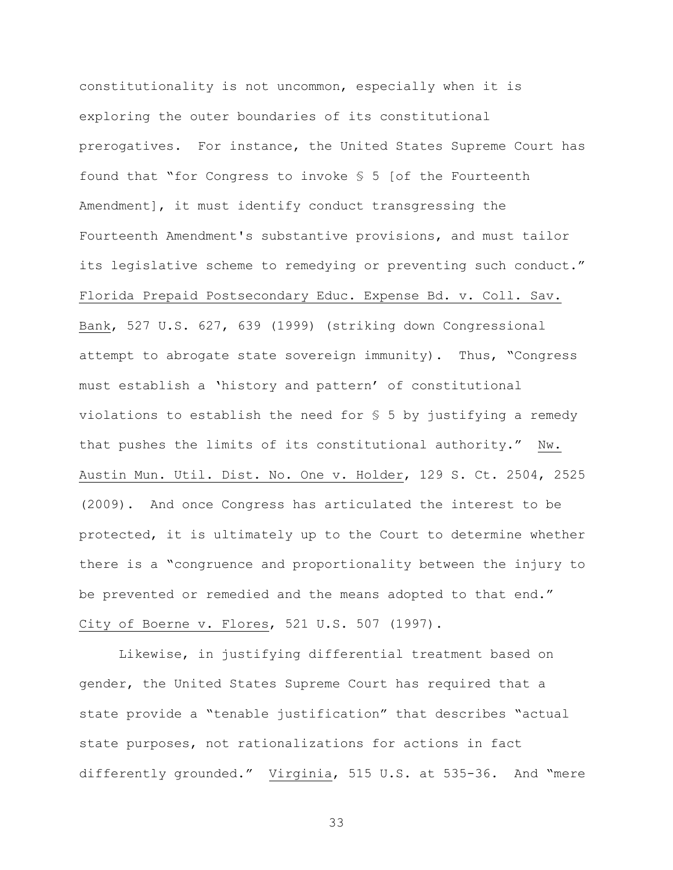constitutionality is not uncommon, especially when it is exploring the outer boundaries of its constitutional prerogatives. For instance, the United States Supreme Court has found that "for Congress to invoke § 5 [of the Fourteenth Amendment], it must identify conduct transgressing the Fourteenth Amendment's substantive provisions, and must tailor its legislative scheme to remedying or preventing such conduct." Florida Prepaid Postsecondary Educ. Expense Bd. v. Coll. Sav. Bank, 527 U.S. 627, 639 (1999) (striking down Congressional attempt to abrogate state sovereign immunity). Thus, "Congress must establish a "history and pattern" of constitutional violations to establish the need for  $S$  5 by justifying a remedy that pushes the limits of its constitutional authority." Nw. Austin Mun. Util. Dist. No. One v. Holder, 129 S. Ct. 2504, 2525 (2009). And once Congress has articulated the interest to be protected, it is ultimately up to the Court to determine whether there is a "congruence and proportionality between the injury to be prevented or remedied and the means adopted to that end." City of Boerne v. Flores, 521 U.S. 507 (1997).

Likewise, in justifying differential treatment based on gender, the United States Supreme Court has required that a state provide a "tenable justification" that describes "actual state purposes, not rationalizations for actions in fact differently grounded." Virginia, 515 U.S. at 535-36. And "mere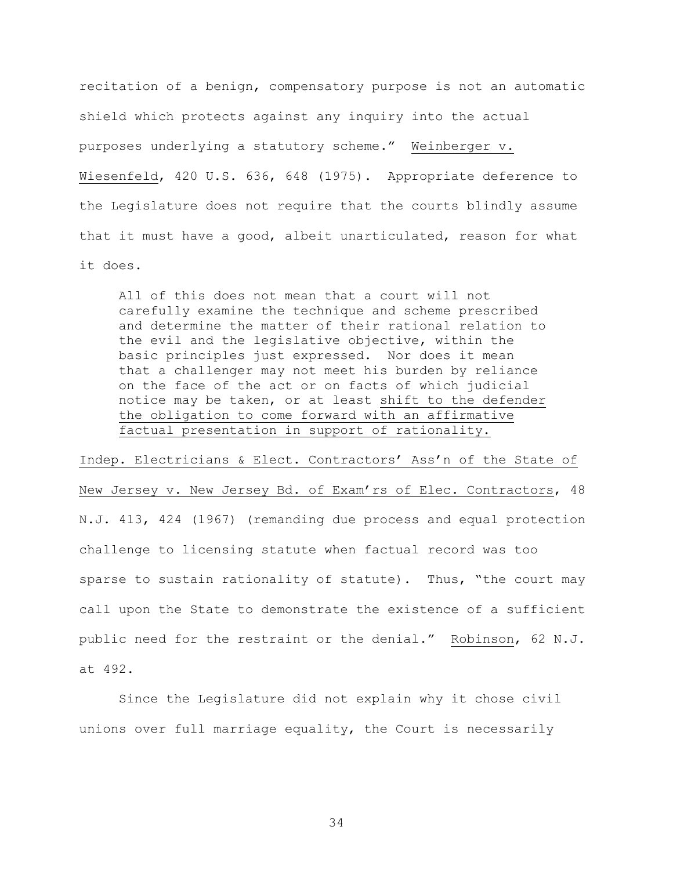recitation of a benign, compensatory purpose is not an automatic shield which protects against any inquiry into the actual purposes underlying a statutory scheme." Weinberger v. Wiesenfeld, 420 U.S. 636, 648 (1975). Appropriate deference to the Legislature does not require that the courts blindly assume that it must have a good, albeit unarticulated, reason for what it does.

All of this does not mean that a court will not carefully examine the technique and scheme prescribed and determine the matter of their rational relation to the evil and the legislative objective, within the basic principles just expressed. Nor does it mean that a challenger may not meet his burden by reliance on the face of the act or on facts of which judicial notice may be taken, or at least shift to the defender the obligation to come forward with an affirmative factual presentation in support of rationality.

Indep. Electricians & Elect. Contractors' Ass'n of the State of New Jersey v. New Jersey Bd. of Exam"rs of Elec. Contractors, 48 N.J. 413, 424 (1967) (remanding due process and equal protection challenge to licensing statute when factual record was too sparse to sustain rationality of statute). Thus, "the court may call upon the State to demonstrate the existence of a sufficient public need for the restraint or the denial." Robinson, 62 N.J. at 492.

Since the Legislature did not explain why it chose civil unions over full marriage equality, the Court is necessarily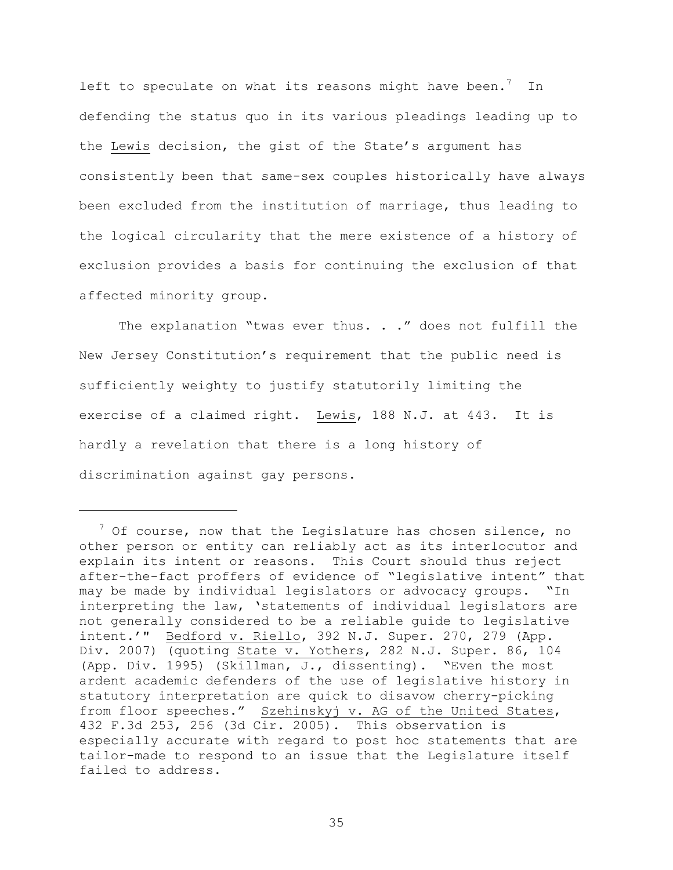left to speculate on what its reasons might have been.<sup>7</sup> In defending the status quo in its various pleadings leading up to the Lewis decision, the gist of the State's argument has consistently been that same-sex couples historically have always been excluded from the institution of marriage, thus leading to the logical circularity that the mere existence of a history of exclusion provides a basis for continuing the exclusion of that affected minority group.

The explanation "twas ever thus. . ." does not fulfill the New Jersey Constitution"s requirement that the public need is sufficiently weighty to justify statutorily limiting the exercise of a claimed right. Lewis, 188 N.J. at 443. It is hardly a revelation that there is a long history of discrimination against gay persons.

a<br>B

 $7$  Of course, now that the Legislature has chosen silence, no other person or entity can reliably act as its interlocutor and explain its intent or reasons. This Court should thus reject after-the-fact proffers of evidence of "legislative intent" that may be made by individual legislators or advocacy groups. "In interpreting the law, "statements of individual legislators are not generally considered to be a reliable guide to legislative intent."" Bedford v. Riello, 392 N.J. Super. 270, 279 (App. Div. 2007) (quoting State v. Yothers, 282 N.J. Super. 86, 104 (App. Div. 1995) (Skillman, J., dissenting). "Even the most ardent academic defenders of the use of legislative history in statutory interpretation are quick to disavow cherry-picking from floor speeches." Szehinskyj v. AG of the United States, 432 F.3d 253, 256 (3d Cir. 2005). This observation is especially accurate with regard to post hoc statements that are tailor-made to respond to an issue that the Legislature itself failed to address.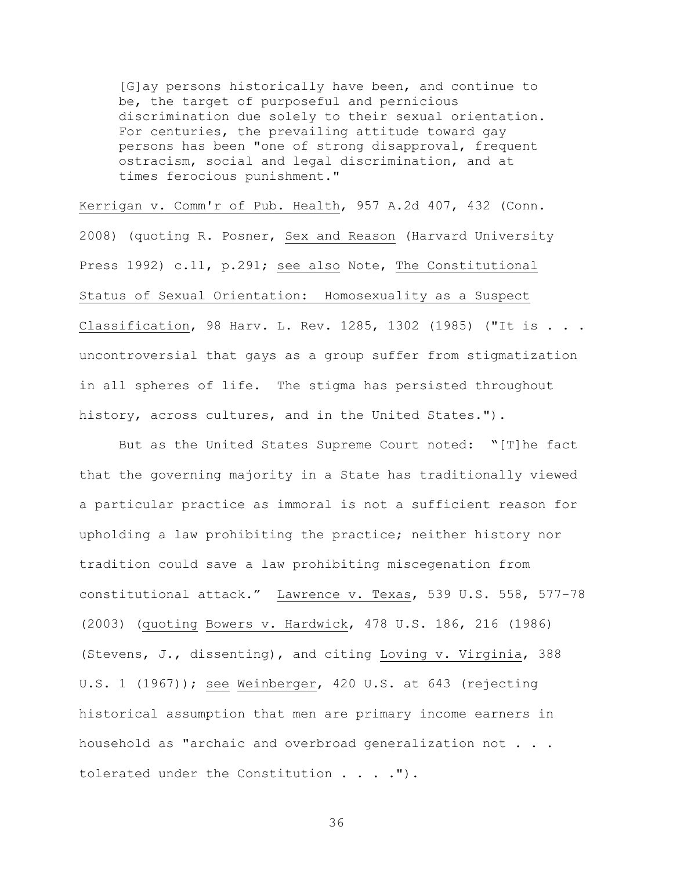[G]ay persons historically have been, and continue to be, the target of purposeful and pernicious discrimination due solely to their sexual orientation. For centuries, the prevailing attitude toward gay persons has been "one of strong disapproval, frequent ostracism, social and legal discrimination, and at times ferocious punishment."

Kerrigan v. Comm'r of Pub. Health, 957 A.2d 407, 432 (Conn. 2008) (quoting R. Posner, Sex and Reason (Harvard University Press 1992) c.11, p.291; see also Note, The Constitutional Status of Sexual Orientation: Homosexuality as a Suspect Classification, 98 Harv. L. Rev. 1285, 1302 (1985) ("It is . . . uncontroversial that gays as a group suffer from stigmatization in all spheres of life. The stigma has persisted throughout history, across cultures, and in the United States.").

But as the United States Supreme Court noted: "[T]he fact that the governing majority in a State has traditionally viewed a particular practice as immoral is not a sufficient reason for upholding a law prohibiting the practice; neither history nor tradition could save a law prohibiting miscegenation from constitutional attack." Lawrence v. Texas, 539 U.S. 558, 577-78 (2003) (quoting Bowers v. Hardwick, 478 U.S. 186, 216 (1986) (Stevens, J., dissenting), and citing Loving v. Virginia, 388 U.S. 1 (1967)); see Weinberger, 420 U.S. at 643 (rejecting historical assumption that men are primary income earners in household as "archaic and overbroad generalization not . . . tolerated under the Constitution . . . . ").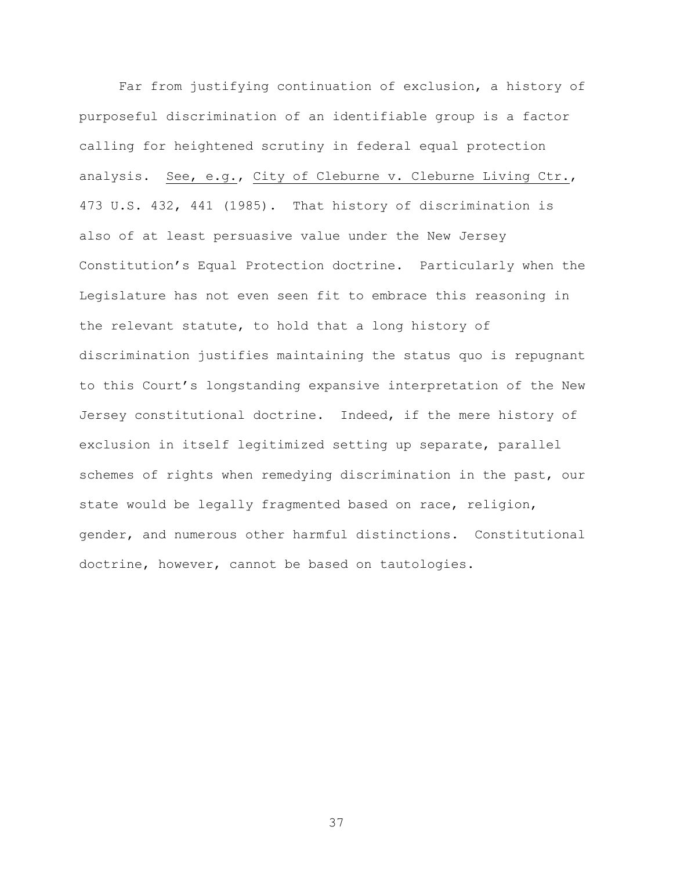Far from justifying continuation of exclusion, a history of purposeful discrimination of an identifiable group is a factor calling for heightened scrutiny in federal equal protection analysis. See, e.g., City of Cleburne v. Cleburne Living Ctr., 473 U.S. 432, 441 (1985). That history of discrimination is also of at least persuasive value under the New Jersey Constitution"s Equal Protection doctrine. Particularly when the Legislature has not even seen fit to embrace this reasoning in the relevant statute, to hold that a long history of discrimination justifies maintaining the status quo is repugnant to this Court"s longstanding expansive interpretation of the New Jersey constitutional doctrine. Indeed, if the mere history of exclusion in itself legitimized setting up separate, parallel schemes of rights when remedying discrimination in the past, our state would be legally fragmented based on race, religion, gender, and numerous other harmful distinctions. Constitutional doctrine, however, cannot be based on tautologies.